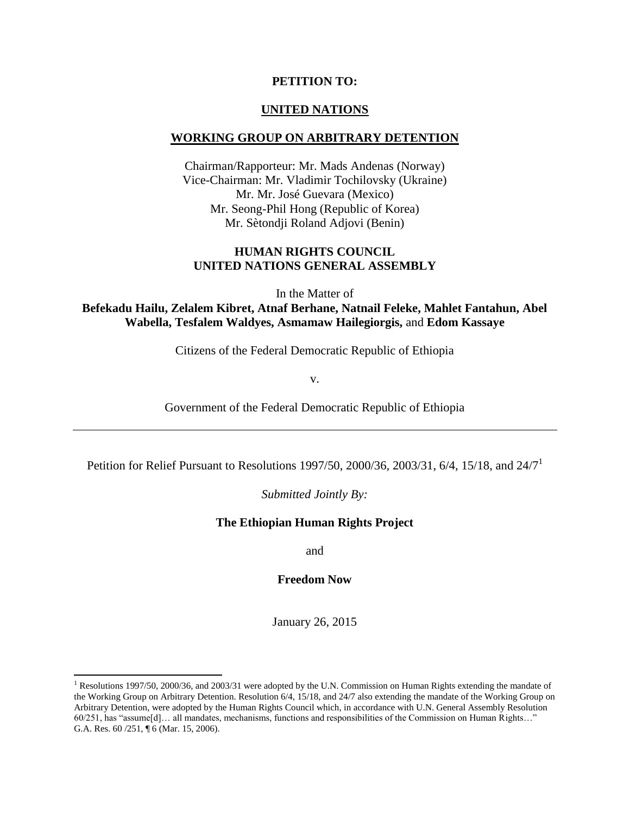#### **PETITION TO:**

### **UNITED NATIONS**

#### **WORKING GROUP ON ARBITRARY DETENTION**

Chairman/Rapporteur: Mr. Mads Andenas (Norway) Vice-Chairman: Mr. Vladimir Tochilovsky (Ukraine) Mr. Mr. José Guevara (Mexico) Mr. Seong-Phil Hong (Republic of Korea) Mr. Sètondji Roland Adjovi (Benin)

#### **HUMAN RIGHTS COUNCIL UNITED NATIONS GENERAL ASSEMBLY**

In the Matter of

**Befekadu Hailu, Zelalem Kibret, Atnaf Berhane, Natnail Feleke, Mahlet Fantahun, Abel Wabella, Tesfalem Waldyes, Asmamaw Hailegiorgis,** and **Edom Kassaye** 

Citizens of the Federal Democratic Republic of Ethiopia

v.

Government of the Federal Democratic Republic of Ethiopia

Petition for Relief Pursuant to Resolutions 1997/50, 2000/36, 2003/31, 6/4, 15/18, and  $24/7<sup>1</sup>$ 

#### *Submitted Jointly By:*

#### **The Ethiopian Human Rights Project**

and

**Freedom Now**

January 26, 2015

l

<sup>&</sup>lt;sup>1</sup> Resolutions 1997/50, 2000/36, and 2003/31 were adopted by the U.N. Commission on Human Rights extending the mandate of the Working Group on Arbitrary Detention. Resolution 6/4, 15/18, and 24/7 also extending the mandate of the Working Group on Arbitrary Detention, were adopted by the Human Rights Council which, in accordance with U.N. General Assembly Resolution 60/251, has "assume[d]… all mandates, mechanisms, functions and responsibilities of the Commission on Human Rights…" G.A. Res. 60 /251, ¶ 6 (Mar. 15, 2006).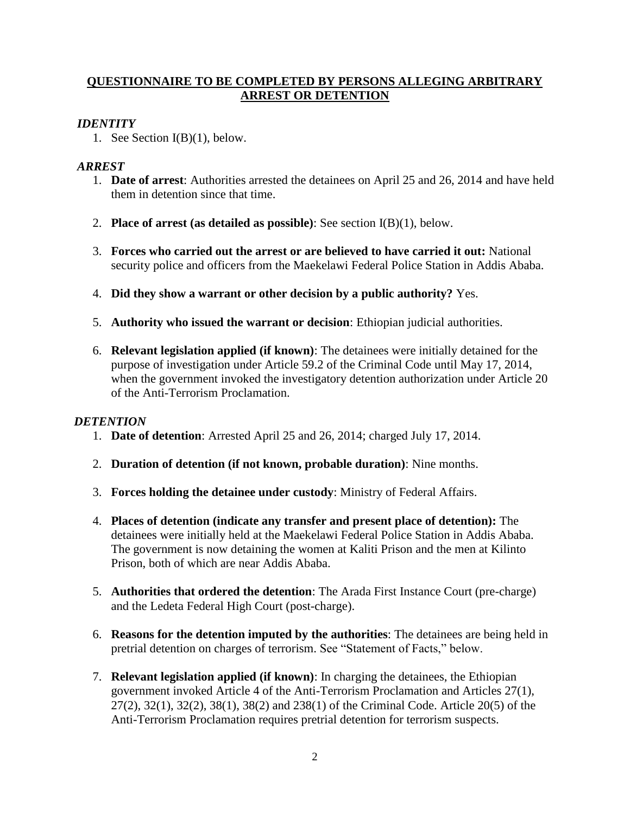# **QUESTIONNAIRE TO BE COMPLETED BY PERSONS ALLEGING ARBITRARY ARREST OR DETENTION**

# *IDENTITY*

1. See Section I(B)(1), below.

# *ARREST*

- 1. **Date of arrest**: Authorities arrested the detainees on April 25 and 26, 2014 and have held them in detention since that time.
- 2. **Place of arrest (as detailed as possible)**: See section I(B)(1), below.
- 3. **Forces who carried out the arrest or are believed to have carried it out:** National security police and officers from the Maekelawi Federal Police Station in Addis Ababa.
- 4. **Did they show a warrant or other decision by a public authority?** Yes.
- 5. **Authority who issued the warrant or decision**: Ethiopian judicial authorities.
- 6. **Relevant legislation applied (if known)**: The detainees were initially detained for the purpose of investigation under Article 59.2 of the Criminal Code until May 17, 2014, when the government invoked the investigatory detention authorization under Article 20 of the Anti-Terrorism Proclamation.

# *DETENTION*

- 1. **Date of detention**: Arrested April 25 and 26, 2014; charged July 17, 2014.
- 2. **Duration of detention (if not known, probable duration)**: Nine months.
- 3. **Forces holding the detainee under custody**: Ministry of Federal Affairs.
- 4. **Places of detention (indicate any transfer and present place of detention):** The detainees were initially held at the Maekelawi Federal Police Station in Addis Ababa. The government is now detaining the women at Kaliti Prison and the men at Kilinto Prison, both of which are near Addis Ababa.
- 5. **Authorities that ordered the detention**: The Arada First Instance Court (pre-charge) and the Ledeta Federal High Court (post-charge).
- 6. **Reasons for the detention imputed by the authorities**: The detainees are being held in pretrial detention on charges of terrorism. See "Statement of Facts," below.
- 7. **Relevant legislation applied (if known)**: In charging the detainees, the Ethiopian government invoked Article 4 of the Anti-Terrorism Proclamation and Articles 27(1), 27(2), 32(1), 32(2), 38(1), 38(2) and 238(1) of the Criminal Code. Article 20(5) of the Anti-Terrorism Proclamation requires pretrial detention for terrorism suspects.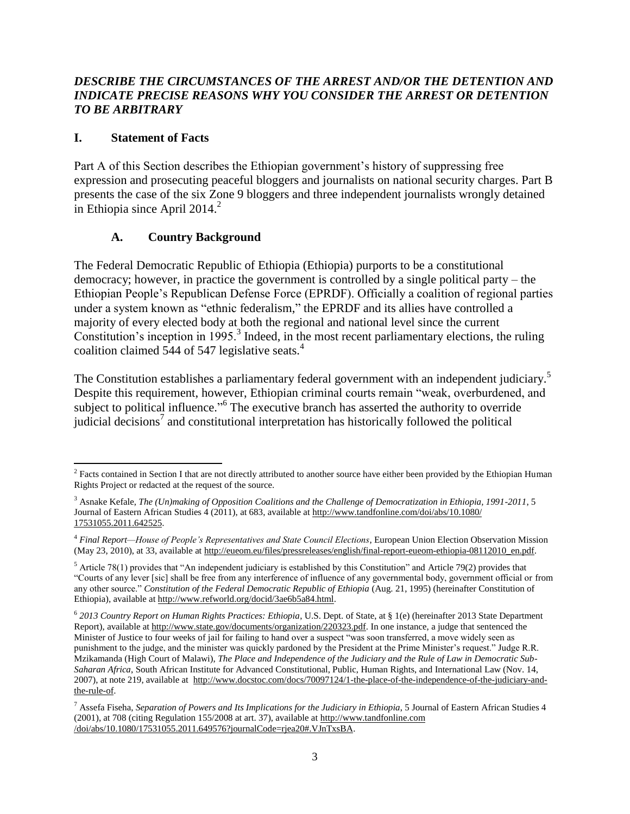## *DESCRIBE THE CIRCUMSTANCES OF THE ARREST AND/OR THE DETENTION AND INDICATE PRECISE REASONS WHY YOU CONSIDER THE ARREST OR DETENTION TO BE ARBITRARY*

## **I. Statement of Facts**

Part A of this Section describes the Ethiopian government's history of suppressing free expression and prosecuting peaceful bloggers and journalists on national security charges. Part B presents the case of the six Zone 9 bloggers and three independent journalists wrongly detained in Ethiopia since April 2014. $^2$ 

# **A. Country Background**

The Federal Democratic Republic of Ethiopia (Ethiopia) purports to be a constitutional democracy; however, in practice the government is controlled by a single political party – the Ethiopian People's Republican Defense Force (EPRDF). Officially a coalition of regional parties under a system known as "ethnic federalism," the EPRDF and its allies have controlled a majority of every elected body at both the regional and national level since the current Constitution's inception in 1995.<sup>3</sup> Indeed, in the most recent parliamentary elections, the ruling coalition claimed 544 of 547 legislative seats.<sup>4</sup>

The Constitution establishes a parliamentary federal government with an independent judiciary.<sup>5</sup> Despite this requirement, however, Ethiopian criminal courts remain "weak, overburdened, and subject to political influence."<sup>6</sup> The executive branch has asserted the authority to override judicial decisions<sup>7</sup> and constitutional interpretation has historically followed the political

 $\overline{a}$ <sup>2</sup> Facts contained in Section I that are not directly attributed to another source have either been provided by the Ethiopian Human Rights Project or redacted at the request of the source.

<sup>3</sup> Asnake Kefale, *The (Un)making of Opposition Coalitions and the Challenge of Democratization in Ethiopia, 1991-2011*, 5 Journal of Eastern African Studies 4 (2011), at 683, available at [http://www.tandfonline.com/doi/abs/10.1080/](http://www.tandfonline.com/doi/abs/‌10.1080/‌17531055.2011.642525) [17531055.2011.642525.](http://www.tandfonline.com/doi/abs/‌10.1080/‌17531055.2011.642525)

<sup>4</sup> *Final Report—House of People's Representatives and State Council Elections*, European Union Election Observation Mission (May 23, 2010), at 33, available at [http://eueom.eu/files/pressreleases/english/final-report-eueom-ethiopia-08112010\\_en.pdf.](http://eueom.eu/files/pressreleases/english/final-report-eueom-ethiopia-08112010_en.pdf)

 $<sup>5</sup>$  Article 78(1) provides that "An independent judiciary is established by this Constitution" and Article 79(2) provides that</sup> "Courts of any lever [sic] shall be free from any interference of influence of any governmental body, government official or from any other source." *Constitution of the Federal Democratic Republic of Ethiopia* (Aug. 21, 1995) (hereinafter Constitution of Ethiopia), available a[t http://www.refworld.org/docid/3ae6b5a84.html.](http://www.refworld.org/docid/3ae6b5a84.html) 

<sup>6</sup> *2013 Country Report on Human Rights Practices: Ethiopia*, U.S. Dept. of State, at § 1(e) (hereinafter 2013 State Department Report), available a[t http://www.state.gov/documents/organization/220323.pdf.](http://www.state.gov/documents/organization/220323.pdf) In one instance, a judge that sentenced the Minister of Justice to four weeks of jail for failing to hand over a suspect "was soon transferred, a move widely seen as punishment to the judge, and the minister was quickly pardoned by the President at the Prime Minister's request." Judge R.R. Mzikamanda (High Court of Malawi), *The Place and Independence of the Judiciary and the Rule of Law in Democratic Sub-Saharan Africa*, South African Institute for Advanced Constitutional, Public, Human Rights, and International Law (Nov. 14, 2007), at note 219, available at [http://www.docstoc.com/docs/70097124/1-the-place-of-the-independence-of-the-judiciary-and](http://www.docstoc.com/‌docs/70097124/1-the-place-of-the-independence-of-the-judiciary-and-the-rule-of)[the-rule-of.](http://www.docstoc.com/‌docs/70097124/1-the-place-of-the-independence-of-the-judiciary-and-the-rule-of) 

<sup>&</sup>lt;sup>7</sup> Assefa Fiseha, *Separation of Powers and Its Implications for the Judiciary in Ethiopia*, 5 Journal of Eastern African Studies 4 (2001), at 708 (citing Regulation 155/2008 at art. 37), available a[t http://www.tandfonline.com](http://www.tandfonline.com/doi/abs/10.1080/17531055.2011.649576?journalCode=rjea20#.VJnTxsBA) [/doi/abs/10.1080/17531055.2011.649576?journalCode=rjea20#.VJnTxsBA.](http://www.tandfonline.com/doi/abs/10.1080/17531055.2011.649576?journalCode=rjea20#.VJnTxsBA)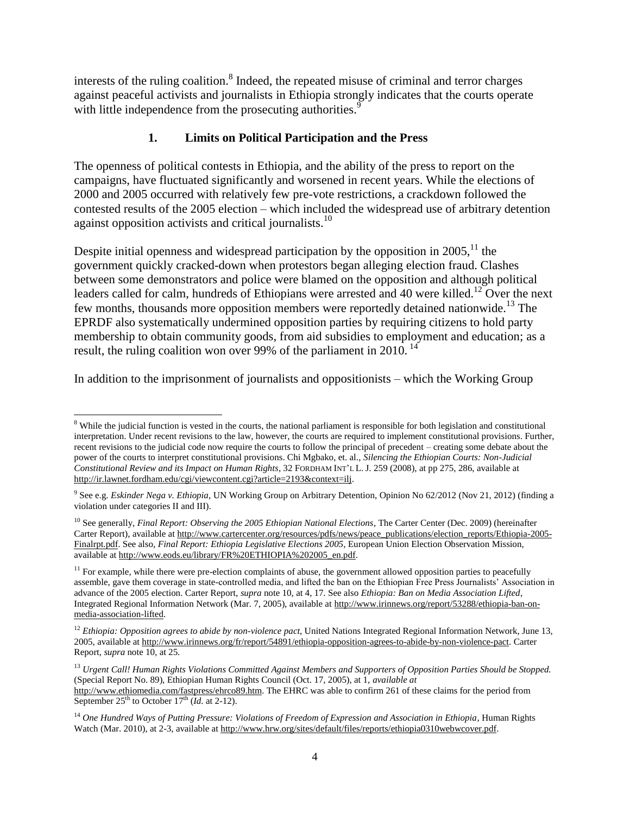interests of the ruling coalition.<sup>8</sup> Indeed, the repeated misuse of criminal and terror charges against peaceful activists and journalists in Ethiopia strongly indicates that the courts operate with little independence from the prosecuting authorities.<sup>9</sup>

# **1. Limits on Political Participation and the Press**

The openness of political contests in Ethiopia, and the ability of the press to report on the campaigns, have fluctuated significantly and worsened in recent years. While the elections of 2000 and 2005 occurred with relatively few pre-vote restrictions, a crackdown followed the contested results of the 2005 election – which included the widespread use of arbitrary detention against opposition activists and critical journalists.<sup>10</sup>

Despite initial openness and widespread participation by the opposition in  $2005$ ,<sup>11</sup>, the government quickly cracked-down when protestors began alleging election fraud. Clashes between some demonstrators and police were blamed on the opposition and although political leaders called for calm, hundreds of Ethiopians were arrested and 40 were killed.<sup>12</sup> Over the next few months, thousands more opposition members were reportedly detained nationwide.<sup>13</sup> The EPRDF also systematically undermined opposition parties by requiring citizens to hold party membership to obtain community goods, from aid subsidies to employment and education; as a result, the ruling coalition won over 99% of the parliament in 2010.<sup>14</sup>

In addition to the imprisonment of journalists and oppositionists – which the Working Group

 $\overline{\phantom{a}}$ <sup>8</sup> While the judicial function is vested in the courts, the national parliament is responsible for both legislation and constitutional interpretation. Under recent revisions to the law, however, the courts are required to implement constitutional provisions. Further, recent revisions to the judicial code now require the courts to follow the principal of precedent – creating some debate about the power of the courts to interpret constitutional provisions. Chi Mgbako, et. al., *Silencing the Ethiopian Courts: Non-Judicial Constitutional Review and its Impact on Human Rights*, 32 FORDHAM INT'L L. J. 259 (2008), at pp 275, 286, available at [http://ir.lawnet.fordham.edu/cgi/viewcontent.cgi?article=2193&context=ilj.](http://ir.lawnet.fordham.edu/cgi/‌viewcontent.cgi?article=2193&context=ilj)

<sup>9</sup> See e.g. *Eskinder Nega v. Ethiopia*, UN Working Group on Arbitrary Detention, Opinion No 62/2012 (Nov 21, 2012) (finding a violation under categories II and III).

<sup>&</sup>lt;sup>10</sup> See generally, *Final Report: Observing the 2005 Ethiopian National Elections*, The Carter Center (Dec. 2009) (hereinafter Carter Report), available a[t http://www.cartercenter.org/resources/pdfs/news/peace\\_publications/election\\_reports/Ethiopia-2005-](http://www.cartercenter.org/resources/pdfs/news/peace_publications/‌election_reports/Ethiopia-2005-Finalrpt.pdf) [Finalrpt.pdf.](http://www.cartercenter.org/resources/pdfs/news/peace_publications/‌election_reports/Ethiopia-2005-Finalrpt.pdf) See also, *Final Report: Ethiopia Legislative Elections 2005*, European Union Election Observation Mission, available a[t http://www.eods.eu/library/FR%20ETHIOPIA%202005\\_en.pdf.](http://www.eods.eu/library/‌FR%20ETHIOPIA%202005_en.pdf)

 $11$  For example, while there were pre-election complaints of abuse, the government allowed opposition parties to peacefully assemble, gave them coverage in state-controlled media, and lifted the ban on the Ethiopian Free Press Journalists' Association in advance of the 2005 election. Carter Report, *supra* note 10, at 4, 17. See also *Ethiopia: Ban on Media Association Lifted*, Integrated Regional Information Network (Mar. 7, 2005), available at [http://www.irinnews.org/report/53288/ethiopia-ban-on](http://www.irinnews.org/report/53288/ethiopia-ban-on-media-association-lifted)[media-association-lifted.](http://www.irinnews.org/report/53288/ethiopia-ban-on-media-association-lifted)

<sup>&</sup>lt;sup>12</sup> *Ethiopia: Opposition agrees to abide by non-violence pact*, United Nations Integrated Regional Information Network, June 13, 2005, available at [http://www.irinnews.org/fr/report/54891/ethiopia-opposition-agrees-to-abide-by-non-violence-pact.](http://www.irinnews.org/fr/report/54891/ethiopia-opposition-agrees-to-abide-by-non-violence-pact) Carter Report, *supra* note 10, at 25.

<sup>13</sup> *Urgent Call! Human Rights Violations Committed Against Members and Supporters of Opposition Parties Should be Stopped.* (Special Report No. 89), Ethiopian Human Rights Council (Oct. 17, 2005), at 1, *available at*  [http://www.ethiomedia.com/fastpress/ehrco89.htm.](http://www.ethiomedia.com/fastpress/ehrco89.htm) The EHRC was able to confirm 261 of these claims for the period from September  $25<sup>th</sup>$  to October 17<sup>th</sup> (*Id.* at 2-12).

<sup>&</sup>lt;sup>14</sup> One Hundred Ways of Putting Pressure: Violations of Freedom of Expression and Association in Ethiopia, Human Rights Watch (Mar. 2010), at 2-3, available a[t http://www.hrw.org/sites/default/files/reports/ethiopia0310webwcover.pdf.](http://www.hrw.org/sites/default/files/reports/‌ethiopia0310webwcover.pdf)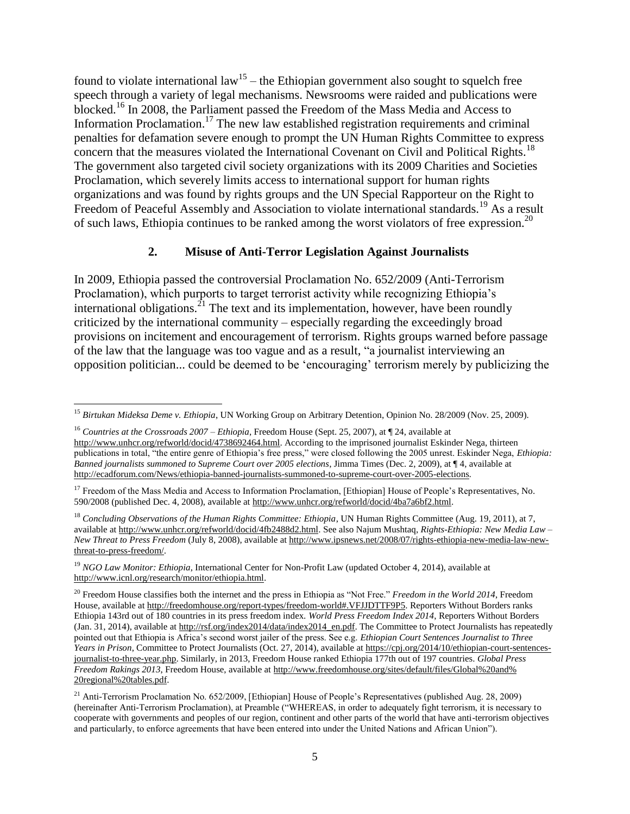found to violate international  $law^{15}$  – the Ethiopian government also sought to squelch free speech through a variety of legal mechanisms. Newsrooms were raided and publications were blocked.<sup>16</sup> In 2008, the Parliament passed the Freedom of the Mass Media and Access to Information Proclamation.<sup>17</sup> The new law established registration requirements and criminal penalties for defamation severe enough to prompt the UN Human Rights Committee to express concern that the measures violated the International Covenant on Civil and Political Rights.<sup>18</sup> The government also targeted civil society organizations with its 2009 Charities and Societies Proclamation, which severely limits access to international support for human rights organizations and was found by rights groups and the UN Special Rapporteur on the Right to Freedom of Peaceful Assembly and Association to violate international standards.<sup>19</sup> As a result of such laws, Ethiopia continues to be ranked among the worst violators of free expression.<sup>20</sup>

### **2. Misuse of Anti-Terror Legislation Against Journalists**

In 2009, Ethiopia passed the controversial Proclamation No. 652/2009 (Anti-Terrorism Proclamation), which purports to target terrorist activity while recognizing Ethiopia's international obligations.<sup>21</sup> The text and its implementation, however, have been roundly criticized by the international community – especially regarding the exceedingly broad provisions on incitement and encouragement of terrorism. Rights groups warned before passage of the law that the language was too vague and as a result, "a journalist interviewing an opposition politician... could be deemed to be 'encouraging' terrorism merely by publicizing the

 $\overline{a}$ <sup>15</sup> *Birtukan Mideksa Deme v. Ethiopia*, UN Working Group on Arbitrary Detention, Opinion No. 28/2009 (Nov. 25, 2009).

<sup>16</sup> *Countries at the Crossroads 2007 – Ethiopia*, Freedom House (Sept. 25, 2007), at ¶ 24, available at [http://www.unhcr.org/refworld/docid/4738692464.html.](http://www.unhcr.org/refworld/docid/4738692464.html) According to the imprisoned journalist Eskinder Nega, thirteen publications in total, "the entire genre of Ethiopia's free press," were closed following the 2005 unrest. Eskinder Nega, *Ethiopia: Banned journalists summoned to Supreme Court over 2005 elections*, Jimma Times (Dec. 2, 2009), at ¶ 4, available at [http://ecadforum.com/News/ethiopia-banned-journalists-summoned-to-supreme-court-over-2005-elections](http://ecadforum.com/News/ethiopia-banned-journalists-summoned-to-supreme-court-over-2005-elections/http:/ecadforum.com/News/ethiopia-banned-journalists-summoned-to-supreme-court-over-2005-elections/)*.*

<sup>&</sup>lt;sup>17</sup> Freedom of the Mass Media and Access to Information Proclamation, [Ethiopian] House of People's Representatives, No. 590/2008 (published Dec. 4, 2008), available at [http://www.unhcr.org/refworld/docid/4ba7a6bf2.html.](http://www.unhcr.org/refworld/docid/‌4ba7a6bf2.html)

<sup>18</sup> *Concluding Observations of the Human Rights Committee: Ethiopia*, UN Human Rights Committee (Aug. 19, 2011), at 7, available at [http://www.unhcr.org/refworld/docid/4fb2488d2.html.](http://www.unhcr.org/refworld/docid/4fb2488d2.html) See also Najum Mushtaq, *Rights-Ethiopia: New Media Law – New Threat to Press Freedom* (July 8, 2008), available at [http://www.ipsnews.net/2008/07/rights-ethiopia-new-media-law-new](http://www.ipsnews.net/‌2008/07/rights-ethiopia-new-media-law-new-threat-to-press-freedom/)[threat-to-press-freedom/.](http://www.ipsnews.net/‌2008/07/rights-ethiopia-new-media-law-new-threat-to-press-freedom/) 

<sup>&</sup>lt;sup>19</sup> *NGO Law Monitor: Ethiopia*, International Center for Non-Profit Law (updated October 4, 2014), available at [http://www.icnl.org/research/monitor/ethiopia.html.](http://www.icnl.org/research/monitor/ethiopia.html)

<sup>&</sup>lt;sup>20</sup> Freedom House classifies both the internet and the press in Ethiopia as "Not Free." *Freedom in the World 2014*, Freedom House, available at [http://freedomhouse.org/report-types/freedom-world#.VFJJDTTF9P5.](http://freedomhouse.org/report-types/freedom-world#.VFJJDTTF9P5) Reporters Without Borders ranks Ethiopia 143rd out of 180 countries in its press freedom index. *World Press Freedom Index 2014*, Reporters Without Borders (Jan. 31, 2014), available at [http://rsf.org/index2014/data/index2014\\_en.pdf.](http://rsf.org/index2014/data/index2014_en.pdf) The Committee to Protect Journalists has repeatedly pointed out that Ethiopia is Africa's second worst jailer of the press. See e.g. *Ethiopian Court Sentences Journalist to Three Years in Prison*, Committee to Protect Journalists (Oct. 27, 2014), available a[t https://cpj.org/2014/10/ethiopian-court-sentences](https://cpj.org/2014/10/ethiopian-court-sentences-journalist-to-three-year.php)[journalist-to-three-year.php.](https://cpj.org/2014/10/ethiopian-court-sentences-journalist-to-three-year.php) Similarly, in 2013, Freedom House ranked Ethiopia 177th out of 197 countries. *Global Press Freedom Rakings 2013*, Freedom House, available a[t http://www.freedomhouse.org/sites/default/files/Global%20and%](http://www.freedomhouse.org/sites/default/files/Global%20and%25‌20regional%20tables.pdf) [20regional%20tables.pdf.](http://www.freedomhouse.org/sites/default/files/Global%20and%25‌20regional%20tables.pdf)

<sup>&</sup>lt;sup>21</sup> Anti-Terrorism Proclamation No. 652/2009, [Ethiopian] House of People's Representatives (published Aug. 28, 2009) (hereinafter Anti-Terrorism Proclamation), at Preamble ("WHEREAS, in order to adequately fight terrorism, it is necessary to cooperate with governments and peoples of our region, continent and other parts of the world that have anti-terrorism objectives and particularly, to enforce agreements that have been entered into under the United Nations and African Union").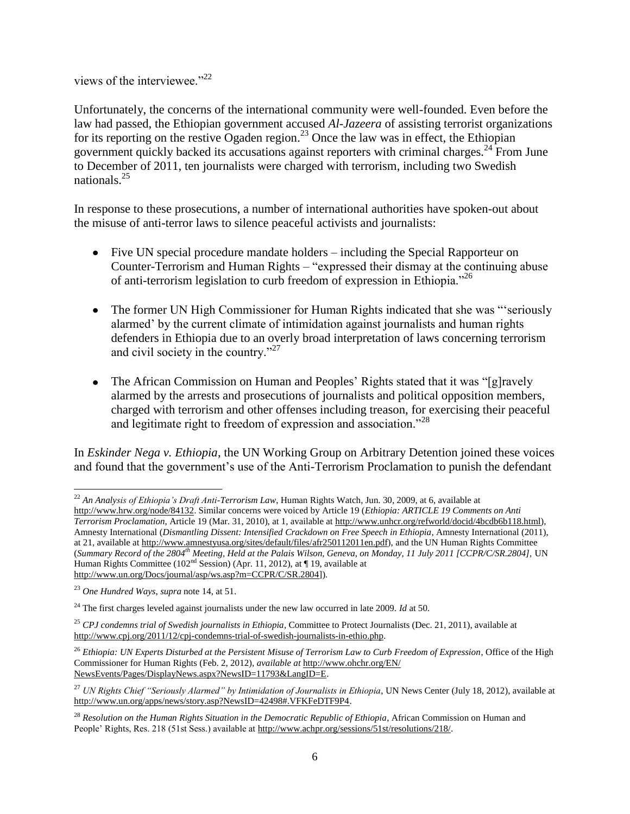views of the interviewee."<sup>22</sup>

Unfortunately, the concerns of the international community were well-founded. Even before the law had passed, the Ethiopian government accused *Al-Jazeera* of assisting terrorist organizations for its reporting on the restive Ogaden region.<sup>23</sup> Once the law was in effect, the Ethiopian government quickly backed its accusations against reporters with criminal charges.<sup>24</sup> From June to December of 2011, ten journalists were charged with terrorism, including two Swedish nationals.<sup>25</sup>

In response to these prosecutions, a number of international authorities have spoken-out about the misuse of anti-terror laws to silence peaceful activists and journalists:

- Five UN special procedure mandate holders including the Special Rapporteur on Counter-Terrorism and Human Rights – "expressed their dismay at the continuing abuse of anti-terrorism legislation to curb freedom of expression in Ethiopia."<sup>26</sup>
- The former UN High Commissioner for Human Rights indicated that she was "'seriously alarmed' by the current climate of intimidation against journalists and human rights defenders in Ethiopia due to an overly broad interpretation of laws concerning terrorism and civil society in the country."<sup>27</sup>
- The African Commission on Human and Peoples' Rights stated that it was "[g]ravely alarmed by the arrests and prosecutions of journalists and political opposition members, charged with terrorism and other offenses including treason, for exercising their peaceful and legitimate right to freedom of expression and association."<sup>28</sup>

In *Eskinder Nega v. Ethiopia*, the UN Working Group on Arbitrary Detention joined these voices and found that the government's use of the Anti-Terrorism Proclamation to punish the defendant

 $\overline{\phantom{a}}$ <sup>22</sup> *An Analysis of Ethiopia's Draft Anti-Terrorism Law*, Human Rights Watch, Jun. 30, 2009, at 6, available at [http://www.hrw.org/node/84132.](http://www.hrw.org/node/84132) Similar concerns were voiced by Article 19 (*Ethiopia: ARTICLE 19 Comments on Anti Terrorism Proclamation*, Article 19 (Mar. 31, 2010), at 1, available at [http://www.unhcr.org/refworld/docid/4bcdb6b118.html\)](http://www.unhcr.org/refworld/docid/‌4bcdb6b118.html), Amnesty International (*Dismantling Dissent: Intensified Crackdown on Free Speech in Ethiopia*, Amnesty International (2011), at 21, available at [http://www.amnestyusa.org/sites/default/files/afr250112011en.pdf\)](http://www.amnestyusa.org/sites/default/files/‌afr250112011en.pdf), and the UN Human Rights Committee (*Summary Record of the 2804th Meeting, Held at the Palais Wilson, Geneva, on Monday, 11 July 2011 [CCPR/C/SR.2804],* UN Human Rights Committee (102<sup>nd</sup> Session) (Apr. 11, 2012), at [19, available at [http://www.un.org/Docs/journal/asp/ws.asp?m=CCPR/C/SR.2804\]](http://www.un.org/Docs/journal/asp/ws.asp?m=CCPR/C/SR.2804)).

<sup>23</sup> *One Hundred Ways*, *supra* note 14, at 51.

<sup>24</sup> The first charges leveled against journalists under the new law occurred in late 2009. *Id* at 50.

<sup>25</sup> *CPJ condemns trial of Swedish journalists in Ethiopia*, Committee to Protect Journalists (Dec. 21, 2011), available at [http://www.cpj.org/2011/12/cpj-condemns-trial-of-swedish-journalists-in-ethio.php.](http://www.cpj.org/2011/12/cpj-condemns-trial-of-swedish-journalists-in-ethio.php)

<sup>26</sup> *Ethiopia: UN Experts Disturbed at the Persistent Misuse of Terrorism Law to Curb Freedom of Expression*, Office of the High Commissioner for Human Rights (Feb. 2, 2012), *available at* [http://www.ohchr.org/EN/](http://www.ohchr.org/EN/‌NewsEvents/Pages/DisplayNews.aspx?NewsID=11793&LangID=E) [NewsEvents/Pages/DisplayNews.aspx?NewsID=11793&LangID=E.](http://www.ohchr.org/EN/‌NewsEvents/Pages/DisplayNews.aspx?NewsID=11793&LangID=E) 

<sup>&</sup>lt;sup>27</sup> *UN Rights Chief "Seriously Alarmed" by Intimidation of Journalists in Ethiopia*, UN News Center (July 18, 2012), available at [http://www.un.org/apps/news/story.asp?NewsID=42498#.VFKFeDTF9P4.](http://www.un.org/apps/news/story.asp?NewsID=42498#.VFKFeDTF9P4)

<sup>&</sup>lt;sup>28</sup> Resolution on the Human Rights Situation in the Democratic Republic of Ethiopia, African Commission on Human and People' Rights, Res. 218 (51st Sess.) available a[t http://www.achpr.org/sessions/51st/resolutions/218/.](http://www.achpr.org/sessions/51st/resolutions/218/)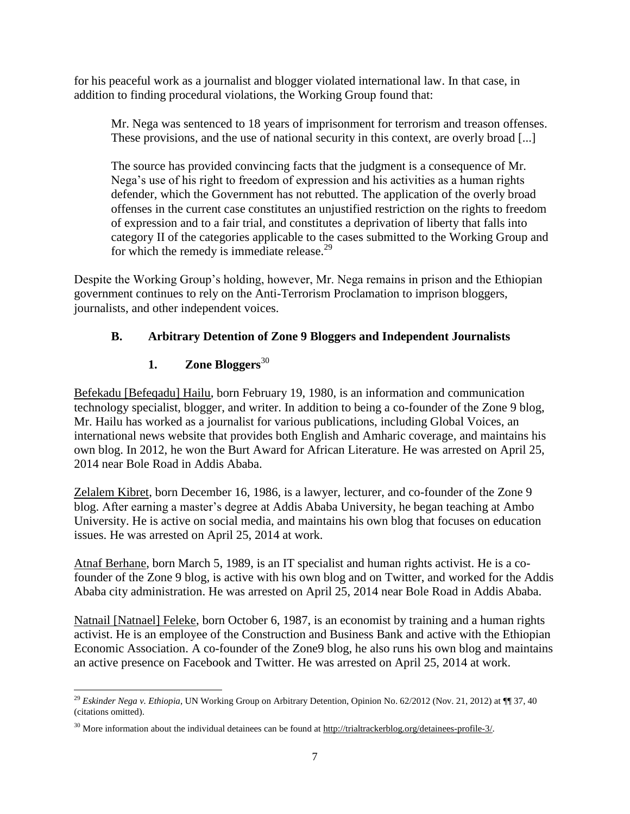for his peaceful work as a journalist and blogger violated international law. In that case, in addition to finding procedural violations, the Working Group found that:

Mr. Nega was sentenced to 18 years of imprisonment for terrorism and treason offenses. These provisions, and the use of national security in this context, are overly broad [...]

The source has provided convincing facts that the judgment is a consequence of Mr. Nega's use of his right to freedom of expression and his activities as a human rights defender, which the Government has not rebutted. The application of the overly broad offenses in the current case constitutes an unjustified restriction on the rights to freedom of expression and to a fair trial, and constitutes a deprivation of liberty that falls into category II of the categories applicable to the cases submitted to the Working Group and for which the remedy is immediate release. $29$ 

Despite the Working Group's holding, however, Mr. Nega remains in prison and the Ethiopian government continues to rely on the Anti-Terrorism Proclamation to imprison bloggers, journalists, and other independent voices.

# **B. Arbitrary Detention of Zone 9 Bloggers and Independent Journalists**

# **1. Zone Bloggers**<sup>30</sup>

Befekadu [Befeqadu] Hailu, born February 19, 1980, is an information and communication technology specialist, blogger, and writer. In addition to being a co-founder of the Zone 9 blog, Mr. Hailu has worked as a journalist for various publications, including Global Voices, an international news website that provides both English and Amharic coverage, and maintains his own blog. In 2012, he won the Burt Award for African Literature. He was arrested on April 25, 2014 near Bole Road in Addis Ababa.

Zelalem Kibret, born December 16, 1986, is a lawyer, lecturer, and co-founder of the Zone 9 blog. After earning a master's degree at Addis Ababa University, he began teaching at Ambo University. He is active on social media, and maintains his own blog that focuses on education issues. He was arrested on April 25, 2014 at work.

Atnaf Berhane, born March 5, 1989, is an IT specialist and human rights activist. He is a cofounder of the Zone 9 blog, is active with his own blog and on Twitter, and worked for the Addis Ababa city administration. He was arrested on April 25, 2014 near Bole Road in Addis Ababa.

Natnail [Natnael] Feleke, born October 6, 1987, is an economist by training and a human rights activist. He is an employee of the Construction and Business Bank and active with the Ethiopian Economic Association. A co-founder of the Zone9 blog, he also runs his own blog and maintains an active presence on Facebook and Twitter. He was arrested on April 25, 2014 at work.

l <sup>29</sup> *Eskinder Nega v. Ethiopia*, UN Working Group on Arbitrary Detention, Opinion No. 62/2012 (Nov. 21, 2012) at ¶¶ 37, 40 (citations omitted).

 $30$  More information about the individual detainees can be found at [http://trialtrackerblog.org/detainees-profile-3/.](http://trialtrackerblog.org/detainees-profile-3/)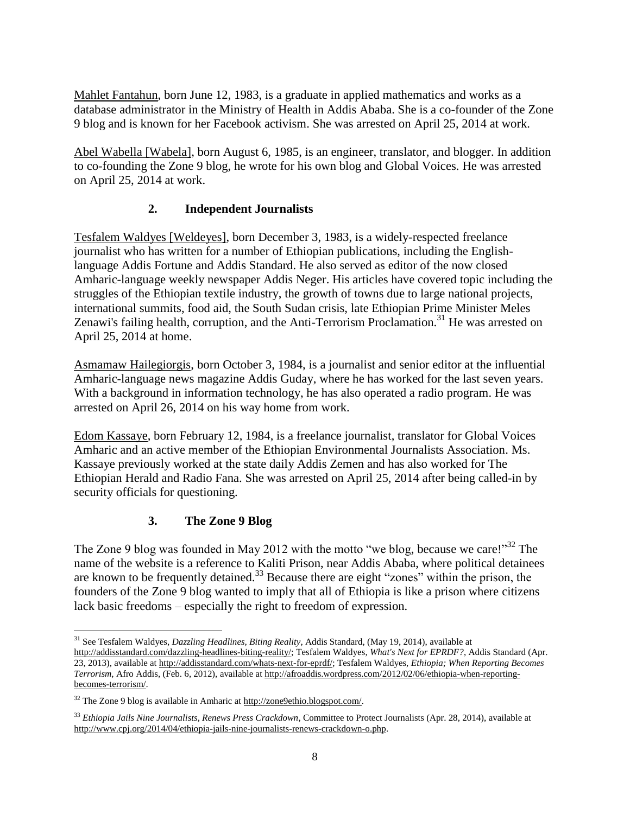Mahlet Fantahun, born June 12, 1983, is a graduate in applied mathematics and works as a database administrator in the Ministry of Health in Addis Ababa. She is a co-founder of the Zone 9 blog and is known for her Facebook activism. She was arrested on April 25, 2014 at work.

Abel Wabella [Wabela], born August 6, 1985, is an engineer, translator, and blogger. In addition to co-founding the Zone 9 blog, he wrote for his own blog and Global Voices. He was arrested on April 25, 2014 at work.

# **2. Independent Journalists**

Tesfalem Waldyes [Weldeyes], born December 3, 1983, is a widely-respected freelance journalist who has written for a number of Ethiopian publications, including the Englishlanguage Addis Fortune and Addis Standard. He also served as editor of the now closed Amharic-language weekly newspaper Addis Neger. His articles have covered topic including the struggles of the Ethiopian textile industry, the growth of towns due to large national projects, international summits, food aid, the South Sudan crisis, late Ethiopian Prime Minister Meles Zenawi's failing health, corruption, and the Anti-Terrorism Proclamation.<sup>31</sup> He was arrested on April 25, 2014 at home.

Asmamaw Hailegiorgis, born October 3, 1984, is a journalist and senior editor at the influential Amharic-language news magazine Addis Guday, where he has worked for the last seven years. With a background in information technology, he has also operated a radio program. He was arrested on April 26, 2014 on his way home from work.

Edom Kassaye, born February 12, 1984, is a freelance journalist, translator for Global Voices Amharic and an active member of the Ethiopian Environmental Journalists Association. Ms. Kassaye previously worked at the state daily Addis Zemen and has also worked for The Ethiopian Herald and Radio Fana. She was arrested on April 25, 2014 after being called-in by security officials for questioning.

# **3. The Zone 9 Blog**

 $\overline{\phantom{a}}$ 

The Zone 9 blog was founded in May 2012 with the motto "we blog, because we care!"<sup>32</sup> The name of the website is a reference to Kaliti Prison, near Addis Ababa, where political detainees are known to be frequently detained.<sup>33</sup> Because there are eight "zones" within the prison, the founders of the Zone 9 blog wanted to imply that all of Ethiopia is like a prison where citizens lack basic freedoms – especially the right to freedom of expression.

<sup>31</sup> See Tesfalem Waldyes, *Dazzling Headlines, Biting Reality*, Addis Standard, (May 19, 2014), available at [http://addisstandard.com/dazzling-headlines-biting-reality/;](http://addisstandard.com/dazzling-headlines-biting-reality/) Tesfalem Waldyes, *What's Next for EPRDF?*, Addis Standard (Apr. 23, 2013), available a[t http://addisstandard.com/whats-next-for-eprdf/;](http://addisstandard.com/whats-next-for-eprdf/) Tesfalem Waldyes, *Ethiopia; When Reporting Becomes Terrorism*, Afro Addis, (Feb. 6, 2012), available at [http://afroaddis.wordpress.com/2012/02/06/ethiopia-when-reporting](http://afroaddis.wordpress.com/‌2012/02/06/ethiopia-when-reporting-becomes-terrorism/)[becomes-terrorism/.](http://afroaddis.wordpress.com/‌2012/02/06/ethiopia-when-reporting-becomes-terrorism/)

<sup>&</sup>lt;sup>32</sup> The Zone 9 blog is available in Amharic at http://zone9ethio.blogspot.com/.

<sup>33</sup> *Ethiopia Jails Nine Journalists, Renews Press Crackdown*, Committee to Protect Journalists (Apr. 28, 2014), available at [http://www.cpj.org/2014/04/ethiopia-jails-nine-journalists-renews-crackdown-o.php.](http://www.cpj.org/2014/04/ethiopia-jails-nine-journalists-renews-crackdown-o.php)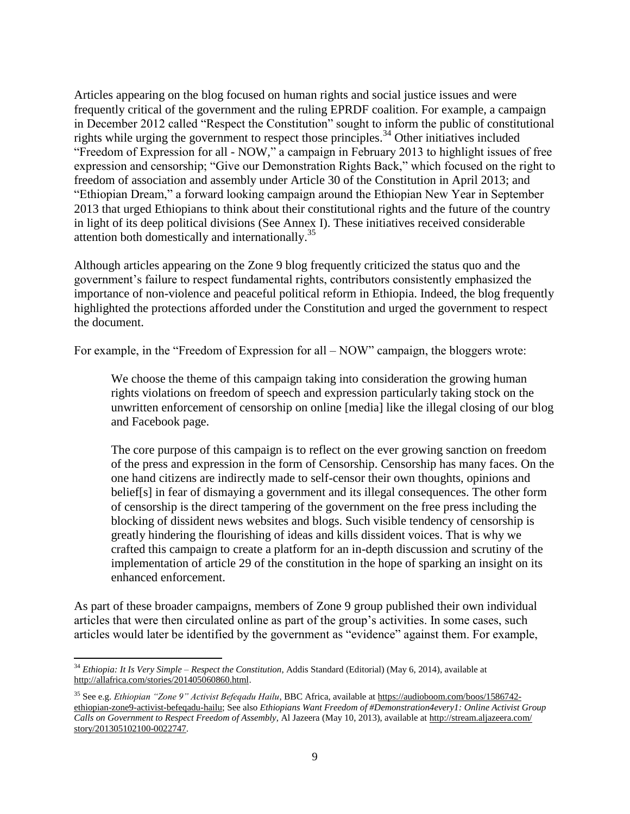Articles appearing on the blog focused on human rights and social justice issues and were frequently critical of the government and the ruling EPRDF coalition. For example, a campaign in December 2012 called "Respect the Constitution" sought to inform the public of constitutional rights while urging the government to respect those principles.<sup>34</sup> Other initiatives included "Freedom of Expression for all - NOW," a campaign in February 2013 to highlight issues of free expression and censorship; "Give our Demonstration Rights Back," which focused on the right to freedom of association and assembly under Article 30 of the Constitution in April 2013; and "Ethiopian Dream," a forward looking campaign around the Ethiopian New Year in September 2013 that urged Ethiopians to think about their constitutional rights and the future of the country in light of its deep political divisions (See Annex I). These initiatives received considerable attention both domestically and internationally.<sup>35</sup>

Although articles appearing on the Zone 9 blog frequently criticized the status quo and the government's failure to respect fundamental rights, contributors consistently emphasized the importance of non-violence and peaceful political reform in Ethiopia. Indeed, the blog frequently highlighted the protections afforded under the Constitution and urged the government to respect the document.

For example, in the "Freedom of Expression for all – NOW" campaign, the bloggers wrote:

We choose the theme of this campaign taking into consideration the growing human rights violations on freedom of speech and expression particularly taking stock on the unwritten enforcement of censorship on online [media] like the illegal closing of our blog and Facebook page.

The core purpose of this campaign is to reflect on the ever growing sanction on freedom of the press and expression in the form of Censorship. Censorship has many faces. On the one hand citizens are indirectly made to self-censor their own thoughts, opinions and belief[s] in fear of dismaying a government and its illegal consequences. The other form of censorship is the direct tampering of the government on the free press including the blocking of dissident news websites and blogs. Such visible tendency of censorship is greatly hindering the flourishing of ideas and kills dissident voices. That is why we crafted this campaign to create a platform for an in-depth discussion and scrutiny of the implementation of article 29 of the constitution in the hope of sparking an insight on its enhanced enforcement.

As part of these broader campaigns, members of Zone 9 group published their own individual articles that were then circulated online as part of the group's activities. In some cases, such articles would later be identified by the government as "evidence" against them. For example,

 $\overline{\phantom{a}}$ <sup>34</sup> *Ethiopia: It Is Very Simple – Respect the Constitution*, Addis Standard (Editorial) (May 6, 2014), available at [http://allafrica.com/stories/201405060860.html.](http://allafrica.com/stories/201405060860.html)

<sup>35</sup> See e.g. *Ethiopian "Zone 9" Activist Befeqadu Hailu*, BBC Africa, available at [https://audioboom.com/boos/1586742](https://audioboom.com/‌boos/1586742-ethiopian-zone9-activist-befeqadu-hailu) [ethiopian-zone9-activist-befeqadu-hailu;](https://audioboom.com/‌boos/1586742-ethiopian-zone9-activist-befeqadu-hailu) See also *Ethiopians Want Freedom of #Demonstration4every1: Online Activist Group Calls on Government to Respect Freedom of Assembly*, Al Jazeera (May 10, 2013), available a[t http://stream.aljazeera.com/](http://stream.aljazeera.com/‌story/201305102100-0022747) [story/201305102100-0022747.](http://stream.aljazeera.com/‌story/201305102100-0022747)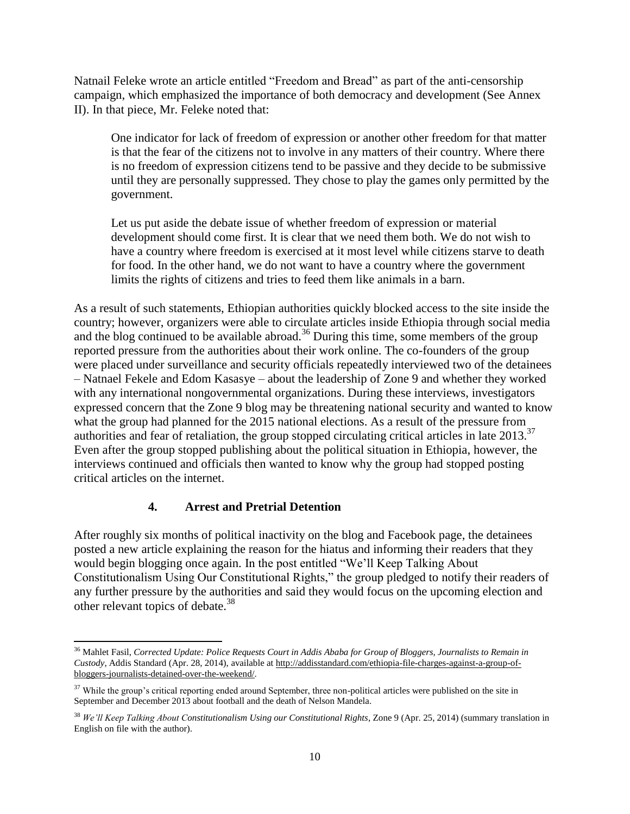Natnail Feleke wrote an article entitled "Freedom and Bread" as part of the anti-censorship campaign, which emphasized the importance of both democracy and development (See Annex II). In that piece, Mr. Feleke noted that:

One indicator for lack of freedom of expression or another other freedom for that matter is that the fear of the citizens not to involve in any matters of their country. Where there is no freedom of expression citizens tend to be passive and they decide to be submissive until they are personally suppressed. They chose to play the games only permitted by the government.

Let us put aside the debate issue of whether freedom of expression or material development should come first. It is clear that we need them both. We do not wish to have a country where freedom is exercised at it most level while citizens starve to death for food. In the other hand, we do not want to have a country where the government limits the rights of citizens and tries to feed them like animals in a barn.

As a result of such statements, Ethiopian authorities quickly blocked access to the site inside the country; however, organizers were able to circulate articles inside Ethiopia through social media and the blog continued to be available abroad.<sup>36</sup> During this time, some members of the group reported pressure from the authorities about their work online. The co-founders of the group were placed under surveillance and security officials repeatedly interviewed two of the detainees – Natnael Fekele and Edom Kasasye – about the leadership of Zone 9 and whether they worked with any international nongovernmental organizations. During these interviews, investigators expressed concern that the Zone 9 blog may be threatening national security and wanted to know what the group had planned for the 2015 national elections. As a result of the pressure from authorities and fear of retaliation, the group stopped circulating critical articles in late 2013.<sup>37</sup> Even after the group stopped publishing about the political situation in Ethiopia, however, the interviews continued and officials then wanted to know why the group had stopped posting critical articles on the internet.

## **4. Arrest and Pretrial Detention**

After roughly six months of political inactivity on the blog and Facebook page, the detainees posted a new article explaining the reason for the hiatus and informing their readers that they would begin blogging once again. In the post entitled "We'll Keep Talking About Constitutionalism Using Our Constitutional Rights," the group pledged to notify their readers of any further pressure by the authorities and said they would focus on the upcoming election and other relevant topics of debate.<sup>38</sup>

 $\overline{a}$ <sup>36</sup> Mahlet Fasil, *Corrected Update: Police Requests Court in Addis Ababa for Group of Bloggers, Journalists to Remain in Custody*, Addis Standard (Apr. 28, 2014), available at [http://addisstandard.com/ethiopia-file-charges-against-a-group-of](http://addisstandard.com/ethiopia-file-charges-against-a-group-of-bloggers-journalists-detained-over-the-weekend/)[bloggers-journalists-detained-over-the-weekend/.](http://addisstandard.com/ethiopia-file-charges-against-a-group-of-bloggers-journalists-detained-over-the-weekend/) 

<sup>&</sup>lt;sup>37</sup> While the group's critical reporting ended around September, three non-political articles were published on the site in September and December 2013 about football and the death of Nelson Mandela.

<sup>38</sup> *We'll Keep Talking About Constitutionalism Using our Constitutional Rights*, Zone 9 (Apr. 25, 2014) (summary translation in English on file with the author).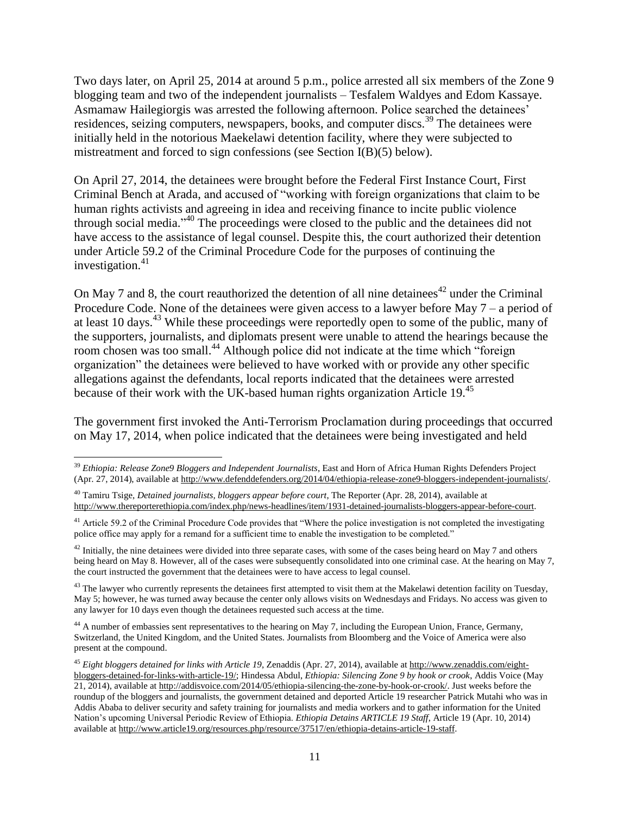Two days later, on April 25, 2014 at around 5 p.m., police arrested all six members of the Zone 9 blogging team and two of the independent journalists – Tesfalem Waldyes and Edom Kassaye. Asmamaw Hailegiorgis was arrested the following afternoon. Police searched the detainees' residences, seizing computers, newspapers, books, and computer discs.<sup>39</sup> The detainees were initially held in the notorious Maekelawi detention facility, where they were subjected to mistreatment and forced to sign confessions (see Section I(B)(5) below).

On April 27, 2014, the detainees were brought before the Federal First Instance Court, First Criminal Bench at Arada, and accused of "working with foreign organizations that claim to be human rights activists and agreeing in idea and receiving finance to incite public violence through social media." <sup>40</sup> The proceedings were closed to the public and the detainees did not have access to the assistance of legal counsel. Despite this, the court authorized their detention under Article 59.2 of the Criminal Procedure Code for the purposes of continuing the investigation. $41$ 

On May 7 and 8, the court reauthorized the detention of all nine detainees<sup> $42$ </sup> under the Criminal Procedure Code. None of the detainees were given access to a lawyer before May 7 – a period of at least 10 days.<sup>43</sup> While these proceedings were reportedly open to some of the public, many of the supporters, journalists, and diplomats present were unable to attend the hearings because the room chosen was too small.<sup>44</sup> Although police did not indicate at the time which "foreign" organization" the detainees were believed to have worked with or provide any other specific allegations against the defendants, local reports indicated that the detainees were arrested because of their work with the UK-based human rights organization Article 19.<sup>45</sup>

The government first invoked the Anti-Terrorism Proclamation during proceedings that occurred on May 17, 2014, when police indicated that the detainees were being investigated and held

 $\overline{a}$ 

 $42$  Initially, the nine detainees were divided into three separate cases, with some of the cases being heard on May 7 and others being heard on May 8. However, all of the cases were subsequently consolidated into one criminal case. At the hearing on May 7, the court instructed the government that the detainees were to have access to legal counsel.

<sup>43</sup> The lawyer who currently represents the detainees first attempted to visit them at the Makelawi detention facility on Tuesday, May 5; however, he was turned away because the center only allows visits on Wednesdays and Fridays. No access was given to any lawyer for 10 days even though the detainees requested such access at the time.

<sup>44</sup> A number of embassies sent representatives to the hearing on May 7, including the European Union, France, Germany, Switzerland, the United Kingdom, and the United States. Journalists from Bloomberg and the Voice of America were also present at the compound.

<sup>39</sup> *Ethiopia: Release Zone9 Bloggers and Independent Journalists*, East and Horn of Africa Human Rights Defenders Project (Apr. 27, 2014), available at [http://www.defenddefenders.org/2014/04/ethiopia-release-zone9-bloggers-independent-journalists/.](http://www.defenddefenders.org/2014/04/ethiopia-release-zone9-bloggers-independent-journalists/)

<sup>40</sup> Tamiru Tsige, *Detained journalists, bloggers appear before court*, The Reporter (Apr. 28, 2014), available at [http://www.thereporterethiopia.com/index.php/news-headlines/item/1931-detained-journalists-bloggers-appear-before-court.](http://www.thereporterethiopia.com/index.php/news-headlines/item/1931-detained-journalists-bloggers-appear-before-court)

<sup>&</sup>lt;sup>41</sup> Article 59.2 of the Criminal Procedure Code provides that "Where the police investigation is not completed the investigating police office may apply for a remand for a sufficient time to enable the investigation to be completed."

<sup>45</sup> *Eight bloggers detained for links with Article 19*, Zenaddis (Apr. 27, 2014), available at [http://www.zenaddis.com/eight](http://www.zenaddis.com/eight-bloggers-detained-for-links-with-article-19/)[bloggers-detained-for-links-with-article-19/;](http://www.zenaddis.com/eight-bloggers-detained-for-links-with-article-19/) Hindessa Abdul, *Ethiopia: Silencing Zone 9 by hook or crook*, Addis Voice (May 21, 2014), available at [http://addisvoice.com/2014/05/ethiopia-silencing-the-zone-by-hook-or-crook/.](http://addisvoice.com/2014/05/‌ethiopia-silencing-the-zone-by-hook-or-crook/) Just weeks before the roundup of the bloggers and journalists, the government detained and deported Article 19 researcher Patrick Mutahi who was in Addis Ababa to deliver security and safety training for journalists and media workers and to gather information for the United Nation's upcoming Universal Periodic Review of Ethiopia. *Ethiopia Detains ARTICLE 19 Staff*, Article 19 (Apr. 10, 2014) available a[t http://www.article19.org/resources.php/resource/37517/en/ethiopia-detains-article-19-staff.](http://www.article19.org/resources.php/‌resource/37517/en/ethiopia-detains-article-19-staff)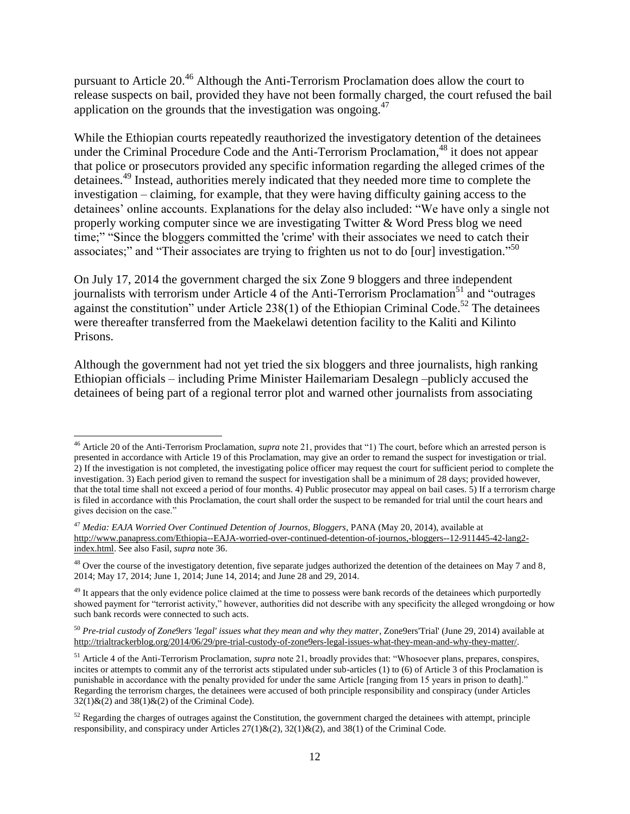pursuant to Article 20.<sup>46</sup> Although the Anti-Terrorism Proclamation does allow the court to release suspects on bail, provided they have not been formally charged, the court refused the bail application on the grounds that the investigation was ongoing. $47$ 

While the Ethiopian courts repeatedly reauthorized the investigatory detention of the detainees under the Criminal Procedure Code and the Anti-Terrorism Proclamation,<sup>48</sup> it does not appear that police or prosecutors provided any specific information regarding the alleged crimes of the detainees. <sup>49</sup> Instead, authorities merely indicated that they needed more time to complete the investigation – claiming, for example, that they were having difficulty gaining access to the detainees' online accounts. Explanations for the delay also included: "We have only a single not properly working computer since we are investigating Twitter & Word Press blog we need time;" "Since the bloggers committed the 'crime' with their associates we need to catch their associates;" and "Their associates are trying to frighten us not to do [our] investigation."<sup>50</sup>

On July 17, 2014 the government charged the six Zone 9 bloggers and three independent journalists with terrorism under Article 4 of the Anti-Terrorism Proclamation<sup>51</sup> and "outrages" against the constitution" under Article 238(1) of the Ethiopian Criminal Code.<sup>52</sup> The detainees were thereafter transferred from the Maekelawi detention facility to the Kaliti and Kilinto Prisons.

Although the government had not yet tried the six bloggers and three journalists, high ranking Ethiopian officials – including Prime Minister Hailemariam Desalegn –publicly accused the detainees of being part of a regional terror plot and warned other journalists from associating

 $\overline{\phantom{a}}$ 

<sup>46</sup> Article 20 of the Anti-Terrorism Proclamation, *supra* note 21, provides that "1) The court, before which an arrested person is presented in accordance with Article 19 of this Proclamation, may give an order to remand the suspect for investigation or trial. 2) If the investigation is not completed, the investigating police officer may request the court for sufficient period to complete the investigation. 3) Each period given to remand the suspect for investigation shall be a minimum of 28 days; provided however, that the total time shall not exceed a period of four months. 4) Public prosecutor may appeal on bail cases. 5) If a terrorism charge is filed in accordance with this Proclamation, the court shall order the suspect to be remanded for trial until the court hears and gives decision on the case."

<sup>47</sup> *Media: EAJA Worried Over Continued Detention of Journos, Bloggers*, PANA (May 20, 2014), available at [http://www.panapress.com/Ethiopia--EAJA-worried-over-continued-detention-of-journos,-bloggers--12-911445-42-lang2](http://www.panapress.com/Ethiopia--EAJA-worried-over-continued-detention-of-journos,-bloggers--12-911445-42-lang2-index.html) [index.html.](http://www.panapress.com/Ethiopia--EAJA-worried-over-continued-detention-of-journos,-bloggers--12-911445-42-lang2-index.html) See also Fasil, *supra* note 36.

<sup>&</sup>lt;sup>48</sup> Over the course of the investigatory detention, five separate judges authorized the detention of the detainees on May 7 and 8, 2014; May 17, 2014; June 1, 2014; June 14, 2014; and June 28 and 29, 2014.

<sup>&</sup>lt;sup>49</sup> It appears that the only evidence police claimed at the time to possess were bank records of the detainees which purportedly showed payment for "terrorist activity," however, authorities did not describe with any specificity the alleged wrongdoing or how such bank records were connected to such acts.

<sup>50</sup> *Pre-trial custody of Zone9ers 'legal' issues what they mean and why they matter*, Zone9ers'Trial' (June 29, 2014) available at [http://trialtrackerblog.org/2014/06/29/pre-trial-custody-of-zone9ers-legal-issues-what-they-mean-and-why-they-matter/.](http://trialtrackerblog.org/2014/06/29/pre-trial-custody-of-zone9ers-legal-issues-what-they-mean-and-why-they-matter/)

<sup>51</sup> Article 4 of the Anti-Terrorism Proclamation, *supra* note 21, broadly provides that: "Whosoever plans, prepares, conspires, incites or attempts to commit any of the terrorist acts stipulated under sub-articles (1) to (6) of Article 3 of this Proclamation is punishable in accordance with the penalty provided for under the same Article [ranging from 15 years in prison to death]." Regarding the terrorism charges, the detainees were accused of both principle responsibility and conspiracy (under Articles  $32(1)$ &(2) and  $38(1)$ &(2) of the Criminal Code).

 $52$  Regarding the charges of outrages against the Constitution, the government charged the detainees with attempt, principle responsibility, and conspiracy under Articles  $27(1)$ &(2),  $32(1)$ &(2), and  $38(1)$  of the Criminal Code.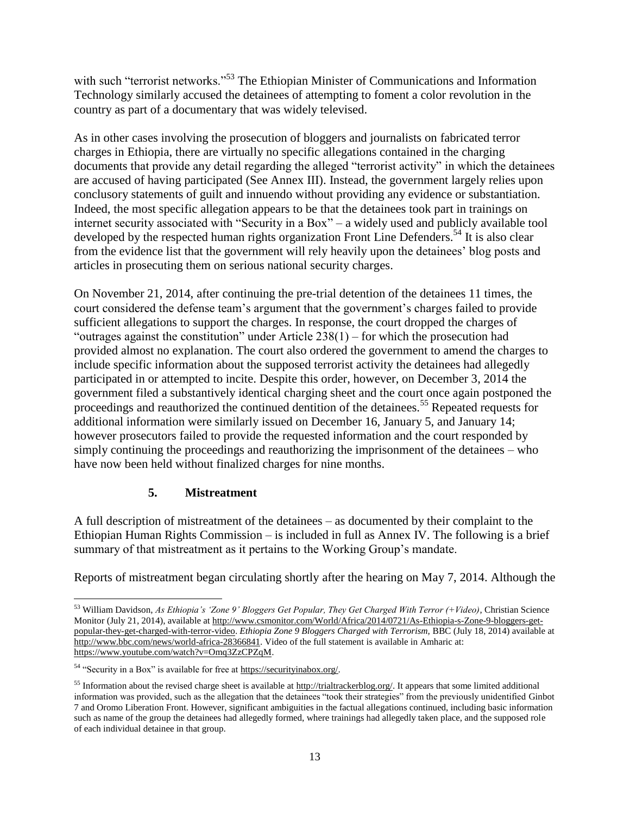with such "terrorist networks."<sup>53</sup> The Ethiopian Minister of Communications and Information Technology similarly accused the detainees of attempting to foment a color revolution in the country as part of a documentary that was widely televised.

As in other cases involving the prosecution of bloggers and journalists on fabricated terror charges in Ethiopia, there are virtually no specific allegations contained in the charging documents that provide any detail regarding the alleged "terrorist activity" in which the detainees are accused of having participated (See Annex III). Instead, the government largely relies upon conclusory statements of guilt and innuendo without providing any evidence or substantiation. Indeed, the most specific allegation appears to be that the detainees took part in trainings on internet security associated with "Security in a Box" – a widely used and publicly available tool developed by the respected human rights organization Front Line Defenders.<sup>54</sup> It is also clear from the evidence list that the government will rely heavily upon the detainees' blog posts and articles in prosecuting them on serious national security charges.

On November 21, 2014, after continuing the pre-trial detention of the detainees 11 times, the court considered the defense team's argument that the government's charges failed to provide sufficient allegations to support the charges. In response, the court dropped the charges of "outrages against the constitution" under Article 238(1) – for which the prosecution had provided almost no explanation. The court also ordered the government to amend the charges to include specific information about the supposed terrorist activity the detainees had allegedly participated in or attempted to incite. Despite this order, however, on December 3, 2014 the government filed a substantively identical charging sheet and the court once again postponed the proceedings and reauthorized the continued dentition of the detainees.<sup>55</sup> Repeated requests for additional information were similarly issued on December 16, January 5, and January 14; however prosecutors failed to provide the requested information and the court responded by simply continuing the proceedings and reauthorizing the imprisonment of the detainees – who have now been held without finalized charges for nine months.

## **5. Mistreatment**

A full description of mistreatment of the detainees – as documented by their complaint to the Ethiopian Human Rights Commission – is included in full as Annex IV. The following is a brief summary of that mistreatment as it pertains to the Working Group's mandate.

Reports of mistreatment began circulating shortly after the hearing on May 7, 2014. Although the

 $\overline{\phantom{a}}$ 

<sup>53</sup> William Davidson, *As Ethiopia's 'Zone 9' Bloggers Get Popular, They Get Charged With Terror (+Video)*, Christian Science Monitor (July 21, 2014), available a[t http://www.csmonitor.com/World/Africa/2014/0721/As-Ethiopia-s-Zone-9-bloggers-get](http://www.csmonitor.com/World/Africa/2014/0721/As-Ethiopia-s-Zone-9-bloggers-get-popular-they-get-charged-with-terror-video)[popular-they-get-charged-with-terror-video.](http://www.csmonitor.com/World/Africa/2014/0721/As-Ethiopia-s-Zone-9-bloggers-get-popular-they-get-charged-with-terror-video) *Ethiopia Zone 9 Bloggers Charged with Terrorism,* BBC (July 18, 2014) available at [http://www.bbc.com/news/world-africa-28366841.](http://www.bbc.com/news/world-africa-28366841) Video of the full statement is available in Amharic at: [https://www.youtube.com/watch?v=Omq3ZzCPZqM.](https://www.youtube.com/watch?v=Omq3ZzCPZqM)

<sup>54</sup> "Security in a Box" is available for free at [https://securityinabox.org/.](https://securityinabox.org/)

<sup>&</sup>lt;sup>55</sup> Information about the revised charge sheet is available at [http://trialtrackerblog.org/.](http://trialtrackerblog.org/) It appears that some limited additional information was provided, such as the allegation that the detainees "took their strategies" from the previously unidentified Ginbot 7 and Oromo Liberation Front. However, significant ambiguities in the factual allegations continued, including basic information such as name of the group the detainees had allegedly formed, where trainings had allegedly taken place, and the supposed role of each individual detainee in that group.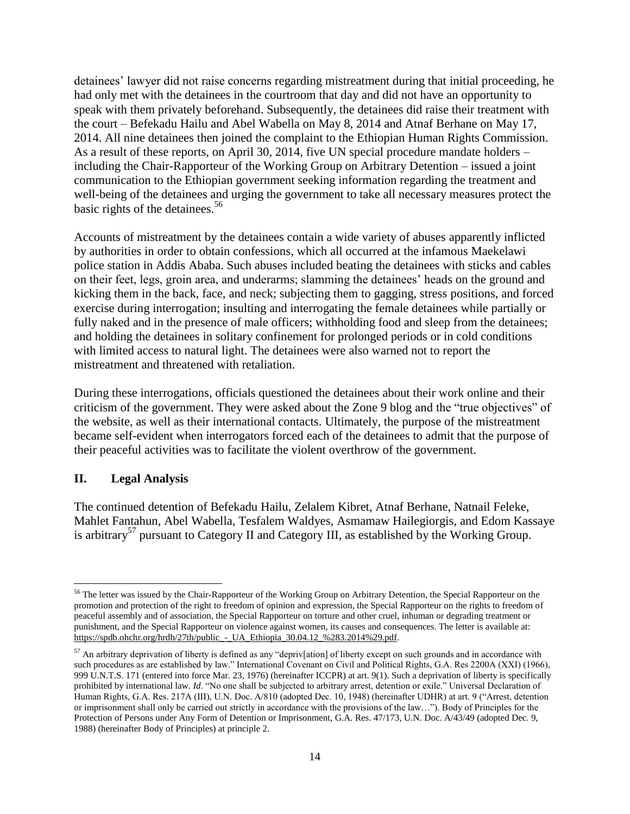detainees' lawyer did not raise concerns regarding mistreatment during that initial proceeding, he had only met with the detainees in the courtroom that day and did not have an opportunity to speak with them privately beforehand. Subsequently, the detainees did raise their treatment with the court – Befekadu Hailu and Abel Wabella on May 8, 2014 and Atnaf Berhane on May 17, 2014. All nine detainees then joined the complaint to the Ethiopian Human Rights Commission. As a result of these reports, on April 30, 2014, five UN special procedure mandate holders – including the Chair-Rapporteur of the Working Group on Arbitrary Detention – issued a joint communication to the Ethiopian government seeking information regarding the treatment and well-being of the detainees and urging the government to take all necessary measures protect the basic rights of the detainees.<sup>56</sup>

Accounts of mistreatment by the detainees contain a wide variety of abuses apparently inflicted by authorities in order to obtain confessions, which all occurred at the infamous Maekelawi police station in Addis Ababa. Such abuses included beating the detainees with sticks and cables on their feet, legs, groin area, and underarms; slamming the detainees' heads on the ground and kicking them in the back, face, and neck; subjecting them to gagging, stress positions, and forced exercise during interrogation; insulting and interrogating the female detainees while partially or fully naked and in the presence of male officers; withholding food and sleep from the detainees; and holding the detainees in solitary confinement for prolonged periods or in cold conditions with limited access to natural light. The detainees were also warned not to report the mistreatment and threatened with retaliation.

During these interrogations, officials questioned the detainees about their work online and their criticism of the government. They were asked about the Zone 9 blog and the "true objectives" of the website, as well as their international contacts. Ultimately, the purpose of the mistreatment became self-evident when interrogators forced each of the detainees to admit that the purpose of their peaceful activities was to facilitate the violent overthrow of the government.

## **II. Legal Analysis**

The continued detention of Befekadu Hailu, Zelalem Kibret, Atnaf Berhane, Natnail Feleke, Mahlet Fantahun, Abel Wabella, Tesfalem Waldyes, Asmamaw Hailegiorgis, and Edom Kassaye is arbitrary<sup>57</sup> pursuant to Category II and Category III, as established by the Working Group.

 $\overline{\phantom{a}}$ <sup>56</sup> The letter was issued by the Chair-Rapporteur of the Working Group on Arbitrary Detention, the Special Rapporteur on the promotion and protection of the right to freedom of opinion and expression, the Special Rapporteur on the rights to freedom of peaceful assembly and of association, the Special Rapporteur on torture and other cruel, inhuman or degrading treatment or punishment, and the Special Rapporteur on violence against women, its causes and consequences. The letter is available at: [https://spdb.ohchr.org/hrdb/27th/public\\_-\\_UA\\_Ethiopia\\_30.04.12\\_%283.2014%29.pdf.](https://spdb.ohchr.org/hrdb/27th/public_-_UA_Ethiopia_30.04.12_%283.2014%29.pdf)

 $57$  An arbitrary deprivation of liberty is defined as any "depriv[ation] of liberty except on such grounds and in accordance with such procedures as are established by law." International Covenant on Civil and Political Rights, G.A. Res 2200A (XXI) (1966), 999 U.N.T.S. 171 (entered into force Mar. 23, 1976) (hereinafter ICCPR) at art. 9(1). Such a deprivation of liberty is specifically prohibited by international law. *Id*. "No one shall be subjected to arbitrary arrest, detention or exile." Universal Declaration of Human Rights, G.A. Res. 217A (III), U.N. Doc. A/810 (adopted Dec. 10, 1948) (hereinafter UDHR) at art. 9 ("Arrest, detention or imprisonment shall only be carried out strictly in accordance with the provisions of the law…"). Body of Principles for the Protection of Persons under Any Form of Detention or Imprisonment, G.A. Res. 47/173, U.N. Doc. A/43/49 (adopted Dec. 9, 1988) (hereinafter Body of Principles) at principle 2.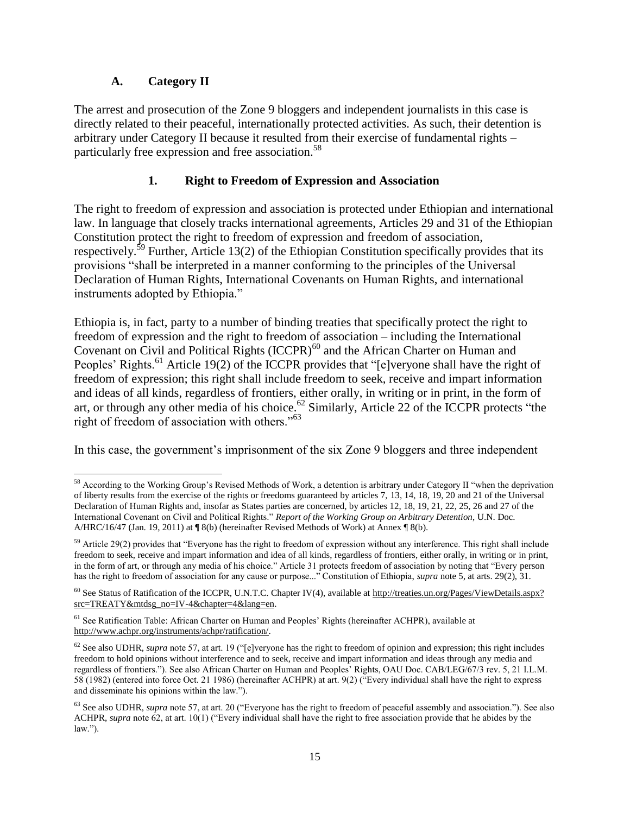# **A. Category II**

The arrest and prosecution of the Zone 9 bloggers and independent journalists in this case is directly related to their peaceful, internationally protected activities. As such, their detention is arbitrary under Category II because it resulted from their exercise of fundamental rights – particularly free expression and free association.<sup>58</sup>

# **1. Right to Freedom of Expression and Association**

The right to freedom of expression and association is protected under Ethiopian and international law. In language that closely tracks international agreements, Articles 29 and 31 of the Ethiopian Constitution protect the right to freedom of expression and freedom of association, respectively.<sup>59</sup> Further, Article 13(2) of the Ethiopian Constitution specifically provides that its provisions "shall be interpreted in a manner conforming to the principles of the Universal Declaration of Human Rights, International Covenants on Human Rights, and international instruments adopted by Ethiopia."

Ethiopia is, in fact, party to a number of binding treaties that specifically protect the right to freedom of expression and the right to freedom of association – including the International Covenant on Civil and Political Rights  $(ICCPR)^{60}$  and the African Charter on Human and Peoples' Rights.<sup>61</sup> Article 19(2) of the ICCPR provides that "[e]veryone shall have the right of freedom of expression; this right shall include freedom to seek, receive and impart information and ideas of all kinds, regardless of frontiers, either orally, in writing or in print, in the form of art, or through any other media of his choice.<sup>62</sup> Similarly, Article 22 of the ICCPR protects "the right of freedom of association with others."<sup>63</sup>

In this case, the government's imprisonment of the six Zone 9 bloggers and three independent

 $\overline{\phantom{a}}$ <sup>58</sup> According to the Working Group's Revised Methods of Work, a detention is arbitrary under Category II "when the deprivation of liberty results from the exercise of the rights or freedoms guaranteed by articles 7, 13, 14, 18, 19, 20 and 21 of the Universal Declaration of Human Rights and, insofar as States parties are concerned, by articles 12, 18, 19, 21, 22, 25, 26 and 27 of the International Covenant on Civil and Political Rights." *Report of the Working Group on Arbitrary Detention*, U.N. Doc. A/HRC/16/47 (Jan. 19, 2011) at  $\P$ 8(b) (hereinafter Revised Methods of Work) at Annex  $\P$ 8(b).

 $59$  Article 29(2) provides that "Everyone has the right to freedom of expression without any interference. This right shall include freedom to seek, receive and impart information and idea of all kinds, regardless of frontiers, either orally, in writing or in print, in the form of art, or through any media of his choice." Article 31 protects freedom of association by noting that "Every person has the right to freedom of association for any cause or purpose..." Constitution of Ethiopia, *supra* note 5, at arts. 29(2), 31.

 $60$  See Status of Ratification of the ICCPR, U.N.T.C. Chapter IV(4), available at [http://treaties.un.org/Pages/ViewDetails.aspx?](http://treaties.un.org/Pages/ViewDetails.aspx?‌src=TREATY&mtdsg_no=IV-4&chapter=4&lang=en) [src=TREATY&mtdsg\\_no=IV-4&chapter=4&lang=en.](http://treaties.un.org/Pages/ViewDetails.aspx?‌src=TREATY&mtdsg_no=IV-4&chapter=4&lang=en)

<sup>&</sup>lt;sup>61</sup> See Ratification Table: African Charter on Human and Peoples' Rights (hereinafter ACHPR), available at [http://www.achpr.org/instruments/achpr/ratification/.](http://www.achpr.org/‌instruments/achpr/ratification/)

<sup>&</sup>lt;sup>62</sup> See also UDHR, *supra* note 57, at art. 19 ("[e]veryone has the right to freedom of opinion and expression; this right includes freedom to hold opinions without interference and to seek, receive and impart information and ideas through any media and regardless of frontiers."). See also African Charter on Human and Peoples' Rights, OAU Doc. CAB/LEG/67/3 rev. 5, 21 I.L.M. 58 (1982) (entered into force Oct. 21 1986) (hereinafter ACHPR) at art. 9(2) ("Every individual shall have the right to express and disseminate his opinions within the law.").

<sup>&</sup>lt;sup>63</sup> See also UDHR, *supra* note 57, at art. 20 ("Everyone has the right to freedom of peaceful assembly and association."). See also ACHPR, *supra* note 62, at art. 10(1) ("Every individual shall have the right to free association provide that he abides by the law.").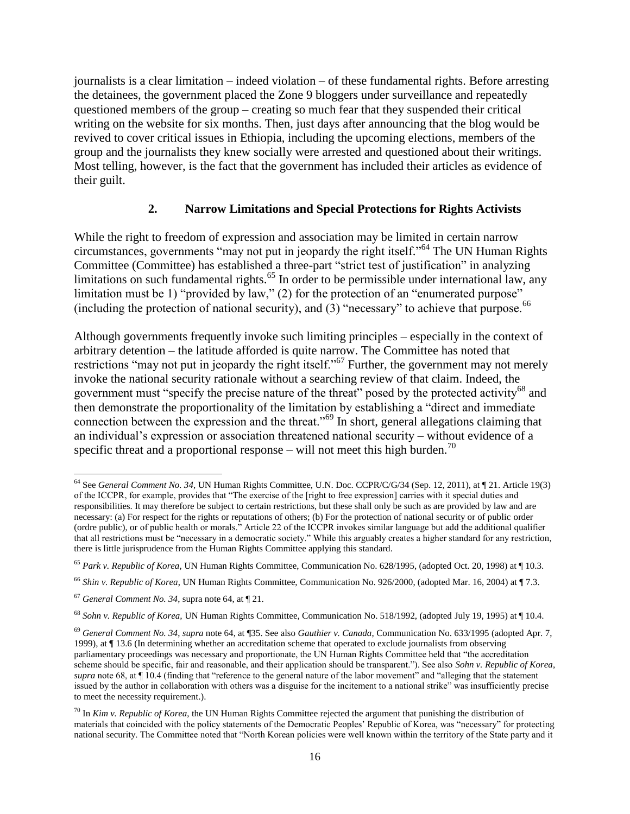journalists is a clear limitation – indeed violation – of these fundamental rights. Before arresting the detainees, the government placed the Zone 9 bloggers under surveillance and repeatedly questioned members of the group – creating so much fear that they suspended their critical writing on the website for six months. Then, just days after announcing that the blog would be revived to cover critical issues in Ethiopia, including the upcoming elections, members of the group and the journalists they knew socially were arrested and questioned about their writings. Most telling, however, is the fact that the government has included their articles as evidence of their guilt.

### **2. Narrow Limitations and Special Protections for Rights Activists**

While the right to freedom of expression and association may be limited in certain narrow circumstances, governments "may not put in jeopardy the right itself." <sup>64</sup> The UN Human Rights Committee (Committee) has established a three-part "strict test of justification" in analyzing limitations on such fundamental rights.<sup>65</sup> In order to be permissible under international law, any limitation must be 1) "provided by law," (2) for the protection of an "enumerated purpose" (including the protection of national security), and  $(3)$  "necessary" to achieve that purpose.<sup>66</sup>

Although governments frequently invoke such limiting principles – especially in the context of arbitrary detention – the latitude afforded is quite narrow. The Committee has noted that restrictions "may not put in jeopardy the right itself."<sup>67</sup> Further, the government may not merely invoke the national security rationale without a searching review of that claim. Indeed, the government must "specify the precise nature of the threat" posed by the protected activity<sup>68</sup> and then demonstrate the proportionality of the limitation by establishing a "direct and immediate connection between the expression and the threat."<sup>69</sup> In short, general allegations claiming that an individual's expression or association threatened national security – without evidence of a specific threat and a proportional response – will not meet this high burden.<sup>70</sup>

 $\overline{\phantom{a}}$ <sup>64</sup> See *General Comment No. 34*, UN Human Rights Committee, U.N. Doc. CCPR/C/G/34 (Sep. 12, 2011), at ¶ 21. Article 19(3) of the ICCPR, for example, provides that "The exercise of the [right to free expression] carries with it special duties and responsibilities. It may therefore be subject to certain restrictions, but these shall only be such as are provided by law and are necessary: (a) For respect for the rights or reputations of others; (b) For the protection of national security or of public order (ordre public), or of public health or morals." Article 22 of the ICCPR invokes similar language but add the additional qualifier that all restrictions must be "necessary in a democratic society." While this arguably creates a higher standard for any restriction, there is little jurisprudence from the Human Rights Committee applying this standard.

<sup>65</sup> *Park v. Republic of Korea*, UN Human Rights Committee, Communication No. 628/1995, (adopted Oct. 20, 1998) at ¶ 10.3.

<sup>66</sup> *Shin v. Republic of Korea*, UN Human Rights Committee, Communication No. 926/2000, (adopted Mar. 16, 2004) at ¶ 7.3.

<sup>67</sup> *General Comment No. 34*, supra note 64, at ¶ 21.

<sup>68</sup> *Sohn v. Republic of Korea,* UN Human Rights Committee, Communication No. 518/1992, (adopted July 19, 1995) at ¶ 10.4.

<sup>69</sup> *General Comment No. 34*, *supra* note 64, at ¶35. See also *Gauthier v. Canada*, Communication No. 633/1995 (adopted Apr. 7, 1999), at ¶ 13.6 (In determining whether an accreditation scheme that operated to exclude journalists from observing parliamentary proceedings was necessary and proportionate, the UN Human Rights Committee held that "the accreditation scheme should be specific, fair and reasonable, and their application should be transparent."). See also *Sohn v. Republic of Korea*, *supra* note 68, at ¶ 10.4 (finding that "reference to the general nature of the labor movement" and "alleging that the statement issued by the author in collaboration with others was a disguise for the incitement to a national strike" was insufficiently precise to meet the necessity requirement.).

<sup>70</sup> In *Kim v. Republic of Korea*, the UN Human Rights Committee rejected the argument that punishing the distribution of materials that coincided with the policy statements of the Democratic Peoples' Republic of Korea, was "necessary" for protecting national security. The Committee noted that "North Korean policies were well known within the territory of the State party and it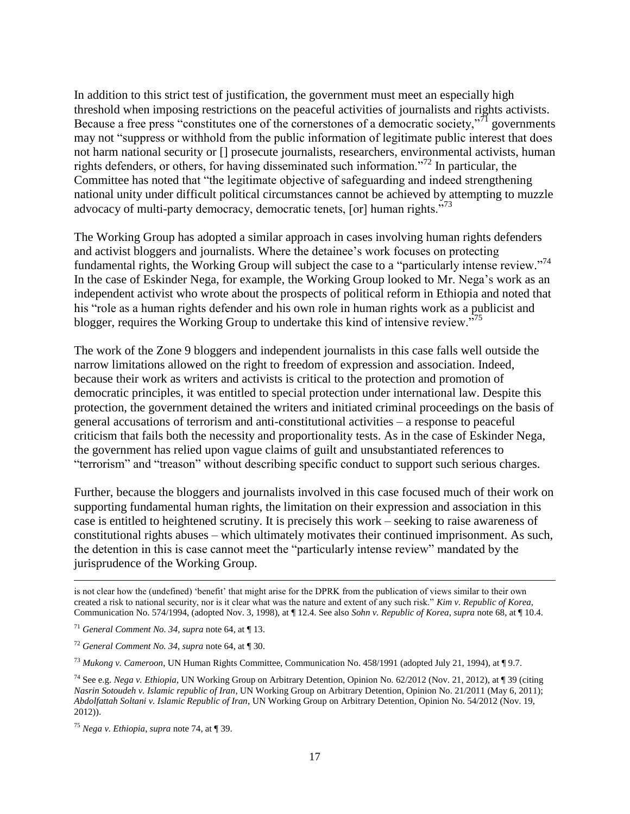In addition to this strict test of justification, the government must meet an especially high threshold when imposing restrictions on the peaceful activities of journalists and rights activists. Because a free press "constitutes one of the cornerstones of a democratic society,"<sup>71</sup> governments may not "suppress or withhold from the public information of legitimate public interest that does not harm national security or [] prosecute journalists, researchers, environmental activists, human rights defenders, or others, for having disseminated such information."<sup>72</sup> In particular, the Committee has noted that "the legitimate objective of safeguarding and indeed strengthening national unity under difficult political circumstances cannot be achieved by attempting to muzzle advocacy of multi-party democracy, democratic tenets, [or] human rights.<sup>773</sup>

The Working Group has adopted a similar approach in cases involving human rights defenders and activist bloggers and journalists. Where the detainee's work focuses on protecting fundamental rights, the Working Group will subject the case to a "particularly intense review."<sup>74</sup> In the case of Eskinder Nega, for example, the Working Group looked to Mr. Nega's work as an independent activist who wrote about the prospects of political reform in Ethiopia and noted that his "role as a human rights defender and his own role in human rights work as a publicist and blogger, requires the Working Group to undertake this kind of intensive review."<sup>75</sup>

The work of the Zone 9 bloggers and independent journalists in this case falls well outside the narrow limitations allowed on the right to freedom of expression and association. Indeed, because their work as writers and activists is critical to the protection and promotion of democratic principles, it was entitled to special protection under international law. Despite this protection, the government detained the writers and initiated criminal proceedings on the basis of general accusations of terrorism and anti-constitutional activities – a response to peaceful criticism that fails both the necessity and proportionality tests. As in the case of Eskinder Nega, the government has relied upon vague claims of guilt and unsubstantiated references to "terrorism" and "treason" without describing specific conduct to support such serious charges.

Further, because the bloggers and journalists involved in this case focused much of their work on supporting fundamental human rights, the limitation on their expression and association in this case is entitled to heightened scrutiny. It is precisely this work – seeking to raise awareness of constitutional rights abuses – which ultimately motivates their continued imprisonment. As such, the detention in this is case cannot meet the "particularly intense review" mandated by the jurisprudence of the Working Group.

 $\overline{\phantom{a}}$ 

is not clear how the (undefined) 'benefit' that might arise for the DPRK from the publication of views similar to their own created a risk to national security, nor is it clear what was the nature and extent of any such risk." *Kim v. Republic of Korea*, Communication No. 574/1994, (adopted Nov. 3, 1998), at ¶ 12.4. See also *Sohn v. Republic of Korea*, *supra* note 68, at ¶ 10.4.

<sup>71</sup> *General Comment No. 34, supra* note 64, at ¶ 13.

<sup>72</sup> *General Comment No. 34, supra* note 64, at ¶ 30.

<sup>73</sup> *Mukong v. Cameroon*, UN Human Rights Committee, Communication No. 458/1991 (adopted July 21, 1994), at ¶ 9.7.

<sup>74</sup> See e.g. *Nega v. Ethiopia*, UN Working Group on Arbitrary Detention, Opinion No. 62/2012 (Nov. 21, 2012), at ¶ 39 (citing *Nasrin Sotoudeh v. Islamic republic of Iran*, UN Working Group on Arbitrary Detention, Opinion No. 21/2011 (May 6, 2011); *Abdolfattah Soltani v. Islamic Republic of Iran*, UN Working Group on Arbitrary Detention, Opinion No. 54/2012 (Nov. 19, 2012)).

<sup>75</sup> *Nega v. Ethiopia*, *supra* note 74, at ¶ 39.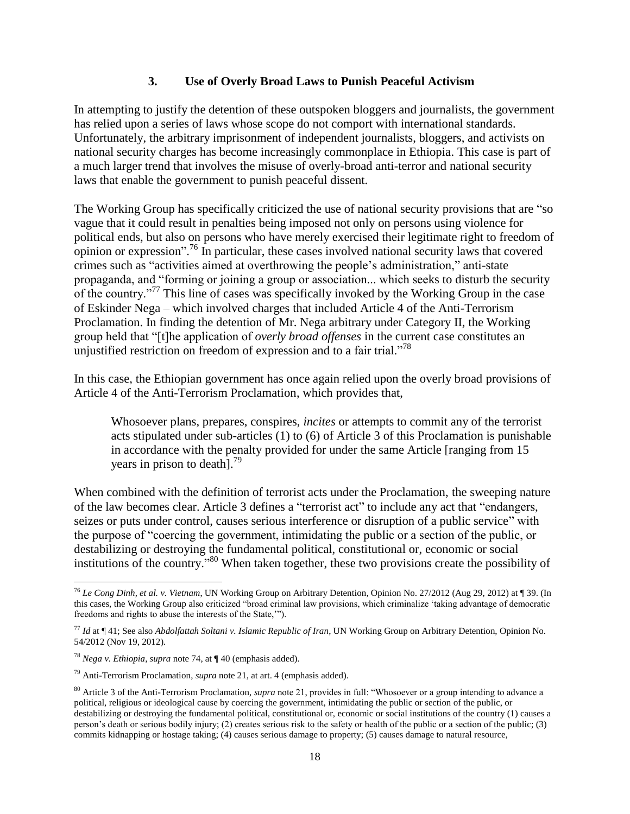## **3. Use of Overly Broad Laws to Punish Peaceful Activism**

In attempting to justify the detention of these outspoken bloggers and journalists, the government has relied upon a series of laws whose scope do not comport with international standards. Unfortunately, the arbitrary imprisonment of independent journalists, bloggers, and activists on national security charges has become increasingly commonplace in Ethiopia. This case is part of a much larger trend that involves the misuse of overly-broad anti-terror and national security laws that enable the government to punish peaceful dissent.

The Working Group has specifically criticized the use of national security provisions that are "so vague that it could result in penalties being imposed not only on persons using violence for political ends, but also on persons who have merely exercised their legitimate right to freedom of opinion or expression".<sup>76</sup> In particular, these cases involved national security laws that covered crimes such as "activities aimed at overthrowing the people's administration," anti-state propaganda, and "forming or joining a group or association... which seeks to disturb the security of the country."<sup>77</sup> This line of cases was specifically invoked by the Working Group in the case of Eskinder Nega – which involved charges that included Article 4 of the Anti-Terrorism Proclamation. In finding the detention of Mr. Nega arbitrary under Category II, the Working group held that "[t]he application of *overly broad offenses* in the current case constitutes an unjustified restriction on freedom of expression and to a fair trial. $1^{78}$ 

In this case, the Ethiopian government has once again relied upon the overly broad provisions of Article 4 of the Anti-Terrorism Proclamation, which provides that,

Whosoever plans, prepares, conspires, *incites* or attempts to commit any of the terrorist acts stipulated under sub-articles (1) to (6) of Article 3 of this Proclamation is punishable in accordance with the penalty provided for under the same Article [ranging from 15 years in prison to death].<sup>79</sup>

When combined with the definition of terrorist acts under the Proclamation, the sweeping nature of the law becomes clear. Article 3 defines a "terrorist act" to include any act that "endangers, seizes or puts under control, causes serious interference or disruption of a public service" with the purpose of "coercing the government, intimidating the public or a section of the public, or destabilizing or destroying the fundamental political, constitutional or, economic or social institutions of the country." <sup>80</sup> When taken together, these two provisions create the possibility of

 $\overline{a}$ <sup>76</sup> *Le Cong Dinh, et al. v. Vietnam*, UN Working Group on Arbitrary Detention, Opinion No. 27/2012 (Aug 29, 2012) at ¶ 39. (In this cases, the Working Group also criticized "broad criminal law provisions, which criminalize 'taking advantage of democratic freedoms and rights to abuse the interests of the State,'").

<sup>77</sup> *Id* at ¶ 41; See also *Abdolfattah Soltani v. Islamic Republic of Iran*, UN Working Group on Arbitrary Detention, Opinion No. 54/2012 (Nov 19, 2012).

<sup>78</sup> *Nega v. Ethiopia*, *supra* note 74, at ¶ 40 (emphasis added).

<sup>79</sup> Anti-Terrorism Proclamation, *supra* note 21, at art. 4 (emphasis added).

<sup>80</sup> Article 3 of the Anti-Terrorism Proclamation, *supra* note 21, provides in full: "Whosoever or a group intending to advance a political, religious or ideological cause by coercing the government, intimidating the public or section of the public, or destabilizing or destroying the fundamental political, constitutional or, economic or social institutions of the country (1) causes a person's death or serious bodily injury; (2) creates serious risk to the safety or health of the public or a section of the public; (3) commits kidnapping or hostage taking; (4) causes serious damage to property; (5) causes damage to natural resource,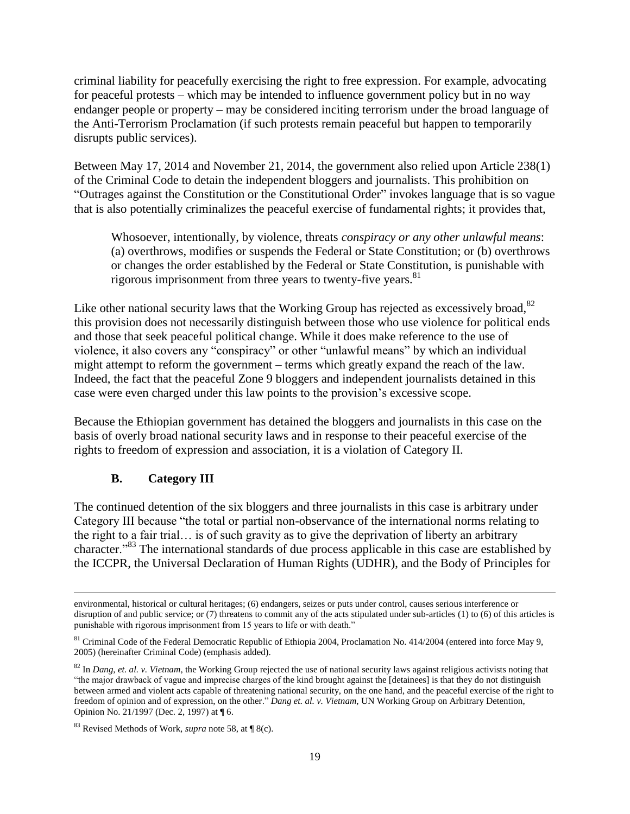criminal liability for peacefully exercising the right to free expression. For example, advocating for peaceful protests – which may be intended to influence government policy but in no way endanger people or property – may be considered inciting terrorism under the broad language of the Anti-Terrorism Proclamation (if such protests remain peaceful but happen to temporarily disrupts public services).

Between May 17, 2014 and November 21, 2014, the government also relied upon Article 238(1) of the Criminal Code to detain the independent bloggers and journalists. This prohibition on "Outrages against the Constitution or the Constitutional Order" invokes language that is so vague that is also potentially criminalizes the peaceful exercise of fundamental rights; it provides that,

Whosoever, intentionally, by violence, threats *conspiracy or any other unlawful means*: (a) overthrows, modifies or suspends the Federal or State Constitution; or (b) overthrows or changes the order established by the Federal or State Constitution, is punishable with rigorous imprisonment from three years to twenty-five years.<sup>81</sup>

Like other national security laws that the Working Group has rejected as excessively broad,  $82$ this provision does not necessarily distinguish between those who use violence for political ends and those that seek peaceful political change. While it does make reference to the use of violence, it also covers any "conspiracy" or other "unlawful means" by which an individual might attempt to reform the government – terms which greatly expand the reach of the law. Indeed, the fact that the peaceful Zone 9 bloggers and independent journalists detained in this case were even charged under this law points to the provision's excessive scope.

Because the Ethiopian government has detained the bloggers and journalists in this case on the basis of overly broad national security laws and in response to their peaceful exercise of the rights to freedom of expression and association, it is a violation of Category II.

# **B. Category III**

 $\overline{\phantom{a}}$ 

The continued detention of the six bloggers and three journalists in this case is arbitrary under Category III because "the total or partial non-observance of the international norms relating to the right to a fair trial… is of such gravity as to give the deprivation of liberty an arbitrary character."<sup>83</sup> The international standards of due process applicable in this case are established by the ICCPR, the Universal Declaration of Human Rights (UDHR), and the Body of Principles for

environmental, historical or cultural heritages; (6) endangers, seizes or puts under control, causes serious interference or disruption of and public service; or (7) threatens to commit any of the acts stipulated under sub-articles (1) to (6) of this articles is punishable with rigorous imprisonment from 15 years to life or with death."

<sup>&</sup>lt;sup>81</sup> Criminal Code of the Federal Democratic Republic of Ethiopia 2004, Proclamation No. 414/2004 (entered into force May 9, 2005) (hereinafter Criminal Code) (emphasis added).

<sup>&</sup>lt;sup>82</sup> In *Dang, et. al. v. Vietnam*, the Working Group rejected the use of national security laws against religious activists noting that "the major drawback of vague and imprecise charges of the kind brought against the [detainees] is that they do not distinguish between armed and violent acts capable of threatening national security, on the one hand, and the peaceful exercise of the right to freedom of opinion and of expression, on the other." *Dang et. al. v. Vietnam*, UN Working Group on Arbitrary Detention, Opinion No. 21/1997 (Dec. 2, 1997) at ¶ 6.

<sup>83</sup> Revised Methods of Work, *supra* note 58, at ¶ 8(c).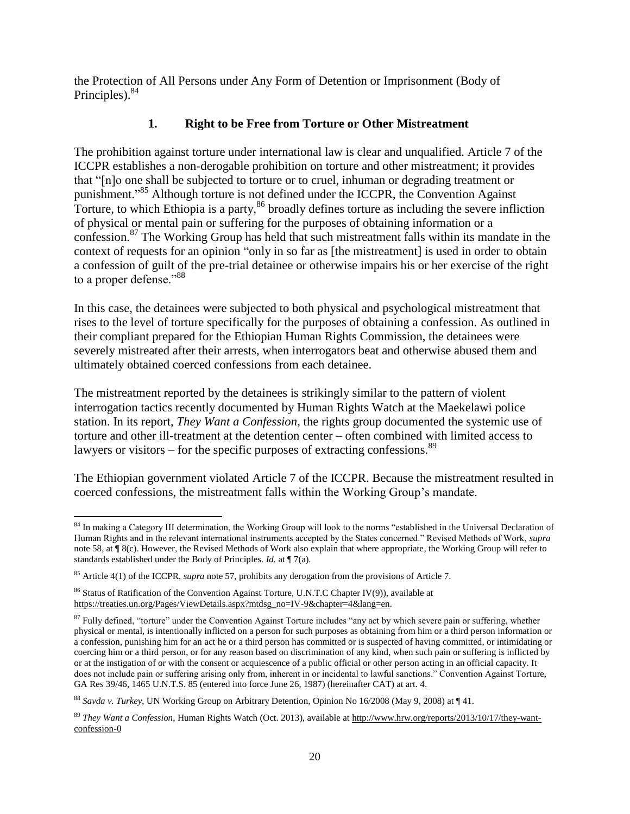the Protection of All Persons under Any Form of Detention or Imprisonment (Body of Principles).<sup>84</sup>

# **1. Right to be Free from Torture or Other Mistreatment**

The prohibition against torture under international law is clear and unqualified. Article 7 of the ICCPR establishes a non-derogable prohibition on torture and other mistreatment; it provides that "[n]o one shall be subjected to torture or to cruel, inhuman or degrading treatment or punishment."<sup>85</sup> Although torture is not defined under the ICCPR, the Convention Against Torture, to which Ethiopia is a party,<sup>86</sup> broadly defines torture as including the severe infliction of physical or mental pain or suffering for the purposes of obtaining information or a confession.<sup>87</sup> The Working Group has held that such mistreatment falls within its mandate in the context of requests for an opinion "only in so far as [the mistreatment] is used in order to obtain a confession of guilt of the pre-trial detainee or otherwise impairs his or her exercise of the right to a proper defense."<sup>88</sup>

In this case, the detainees were subjected to both physical and psychological mistreatment that rises to the level of torture specifically for the purposes of obtaining a confession. As outlined in their compliant prepared for the Ethiopian Human Rights Commission, the detainees were severely mistreated after their arrests, when interrogators beat and otherwise abused them and ultimately obtained coerced confessions from each detainee.

The mistreatment reported by the detainees is strikingly similar to the pattern of violent interrogation tactics recently documented by Human Rights Watch at the Maekelawi police station. In its report, *They Want a Confession*, the rights group documented the systemic use of torture and other ill-treatment at the detention center – often combined with limited access to lawyers or visitors – for the specific purposes of extracting confessions.<sup>89</sup>

The Ethiopian government violated Article 7 of the ICCPR. Because the mistreatment resulted in coerced confessions, the mistreatment falls within the Working Group's mandate.

 $\overline{a}$ <sup>84</sup> In making a Category III determination, the Working Group will look to the norms "established in the Universal Declaration of Human Rights and in the relevant international instruments accepted by the States concerned." Revised Methods of Work, *supra*  note 58, at ¶ 8(c). However, the Revised Methods of Work also explain that where appropriate, the Working Group will refer to standards established under the Body of Principles. *Id.* at ¶ 7(a).

<sup>85</sup> Article 4(1) of the ICCPR, *supra* note 57, prohibits any derogation from the provisions of Article 7.

 $86$  Status of Ratification of the Convention Against Torture, U.N.T.C Chapter IV(9)), available at [https://treaties.un.org/Pages/ViewDetails.aspx?mtdsg\\_no=IV-9&chapter=4&lang=en.](https://treaties.un.org/Pages/ViewDetails.aspx?mtdsg_no=IV-9&chapter=4&lang=en)

<sup>&</sup>lt;sup>87</sup> Fully defined, "torture" under the Convention Against Torture includes "any act by which severe pain or suffering, whether physical or mental, is intentionally inflicted on a person for such purposes as obtaining from him or a third person information or a confession, punishing him for an act he or a third person has committed or is suspected of having committed, or intimidating or coercing him or a third person, or for any reason based on discrimination of any kind, when such pain or suffering is inflicted by or at the instigation of or with the consent or acquiescence of a public official or other person acting in an official capacity. It does not include pain or suffering arising only from, inherent in or incidental to lawful sanctions." Convention Against Torture, GA Res 39/46, 1465 U.N.T.S. 85 (entered into force June 26, 1987) (hereinafter CAT) at art. 4.

<sup>88</sup> *Savda v. Turkey*, UN Working Group on Arbitrary Detention, Opinion No 16/2008 (May 9, 2008) at ¶ 41.

<sup>89</sup> *They Want a Confession*, Human Rights Watch (Oct. 2013), available at [http://www.hrw.org/reports/2013/10/17/they-want](http://www.hrw.org/reports/2013/10/17/‌they-want-confession-0)[confession-0](http://www.hrw.org/reports/2013/10/17/‌they-want-confession-0)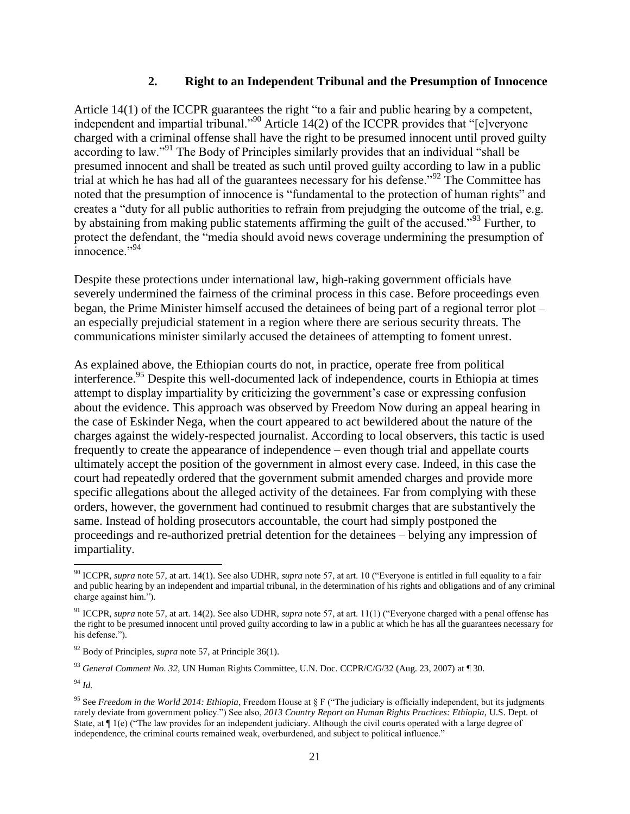#### **2. Right to an Independent Tribunal and the Presumption of Innocence**

Article 14(1) of the ICCPR guarantees the right "to a fair and public hearing by a competent, independent and impartial tribunal."<sup>90</sup> Article 14(2) of the ICCPR provides that "[e]veryone charged with a criminal offense shall have the right to be presumed innocent until proved guilty according to law."<sup>91</sup> The Body of Principles similarly provides that an individual "shall be presumed innocent and shall be treated as such until proved guilty according to law in a public trial at which he has had all of the guarantees necessary for his defense."<sup>92</sup> The Committee has noted that the presumption of innocence is "fundamental to the protection of human rights" and creates a "duty for all public authorities to refrain from prejudging the outcome of the trial, e.g. by abstaining from making public statements affirming the guilt of the accused."<sup>93</sup> Further, to protect the defendant, the "media should avoid news coverage undermining the presumption of  $\frac{1}{1}$ innocence."

Despite these protections under international law, high-raking government officials have severely undermined the fairness of the criminal process in this case. Before proceedings even began, the Prime Minister himself accused the detainees of being part of a regional terror plot – an especially prejudicial statement in a region where there are serious security threats. The communications minister similarly accused the detainees of attempting to foment unrest.

As explained above, the Ethiopian courts do not, in practice, operate free from political interference.<sup>95</sup> Despite this well-documented lack of independence, courts in Ethiopia at times attempt to display impartiality by criticizing the government's case or expressing confusion about the evidence. This approach was observed by Freedom Now during an appeal hearing in the case of Eskinder Nega, when the court appeared to act bewildered about the nature of the charges against the widely-respected journalist. According to local observers, this tactic is used frequently to create the appearance of independence – even though trial and appellate courts ultimately accept the position of the government in almost every case. Indeed, in this case the court had repeatedly ordered that the government submit amended charges and provide more specific allegations about the alleged activity of the detainees. Far from complying with these orders, however, the government had continued to resubmit charges that are substantively the same. Instead of holding prosecutors accountable, the court had simply postponed the proceedings and re-authorized pretrial detention for the detainees – belying any impression of impartiality.

l <sup>90</sup> ICCPR, *supra* note 57, at art. 14(1). See also UDHR, *supra* note 57, at art. 10 ("Everyone is entitled in full equality to a fair and public hearing by an independent and impartial tribunal, in the determination of his rights and obligations and of any criminal charge against him.").

<sup>91</sup> ICCPR, *supra* note 57, at art. 14(2). See also UDHR, *supra* note 57, at art. 11(1) ("Everyone charged with a penal offense has the right to be presumed innocent until proved guilty according to law in a public at which he has all the guarantees necessary for his defense.").

<sup>92</sup> Body of Principles, *supra* note 57, at Principle 36(1).

<sup>93</sup> *General Comment No. 32*, UN Human Rights Committee, U.N. Doc. CCPR/C/G/32 (Aug. 23, 2007) at ¶ 30.

<sup>94</sup> *Id.*

<sup>95</sup> See *Freedom in the World 2014: Ethiopia*, Freedom House at § F ("The judiciary is officially independent, but its judgments rarely deviate from government policy.") See also, *2013 Country Report on Human Rights Practices: Ethiopia*, U.S. Dept. of State, at  $\P$  1(e) ("The law provides for an independent judiciary. Although the civil courts operated with a large degree of independence, the criminal courts remained weak, overburdened, and subject to political influence."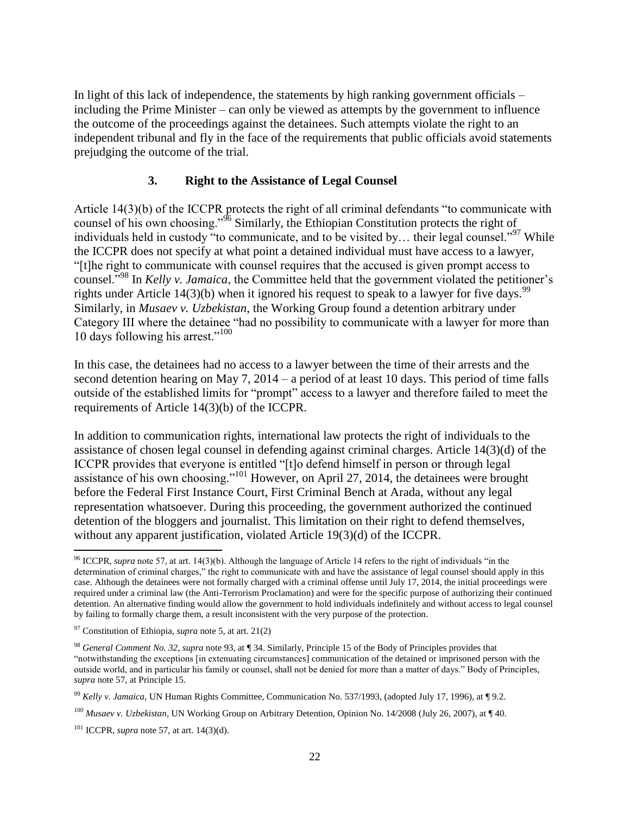In light of this lack of independence, the statements by high ranking government officials – including the Prime Minister – can only be viewed as attempts by the government to influence the outcome of the proceedings against the detainees. Such attempts violate the right to an independent tribunal and fly in the face of the requirements that public officials avoid statements prejudging the outcome of the trial.

### **3. Right to the Assistance of Legal Counsel**

Article 14(3)(b) of the ICCPR protects the right of all criminal defendants "to communicate with counsel of his own choosing."<sup>96</sup> Similarly, the Ethiopian Constitution protects the right of individuals held in custody "to communicate, and to be visited by... their legal counsel."<sup>97</sup> While the ICCPR does not specify at what point a detained individual must have access to a lawyer, "[t]he right to communicate with counsel requires that the accused is given prompt access to counsel."<sup>98</sup> In *Kelly v. Jamaica*, the Committee held that the government violated the petitioner's rights under Article 14(3)(b) when it ignored his request to speak to a lawyer for five days.<sup>99</sup> Similarly, in *Musaev v. Uzbekistan*, the Working Group found a detention arbitrary under Category III where the detainee "had no possibility to communicate with a lawyer for more than 10 days following his arrest."<sup>100</sup>

In this case, the detainees had no access to a lawyer between the time of their arrests and the second detention hearing on May 7, 2014 – a period of at least 10 days. This period of time falls outside of the established limits for "prompt" access to a lawyer and therefore failed to meet the requirements of Article 14(3)(b) of the ICCPR.

In addition to communication rights, international law protects the right of individuals to the assistance of chosen legal counsel in defending against criminal charges. Article 14(3)(d) of the ICCPR provides that everyone is entitled "[t]o defend himself in person or through legal assistance of his own choosing."<sup>101</sup> However, on April 27, 2014, the detainees were brought before the Federal First Instance Court, First Criminal Bench at Arada, without any legal representation whatsoever. During this proceeding, the government authorized the continued detention of the bloggers and journalist. This limitation on their right to defend themselves, without any apparent justification, violated Article 19(3)(d) of the ICCPR.

 $\overline{\phantom{a}}$ <sup>96</sup> ICCPR, *supra* note 57, at art. 14(3)(b). Although the language of Article 14 refers to the right of individuals "in the determination of criminal charges," the right to communicate with and have the assistance of legal counsel should apply in this case. Although the detainees were not formally charged with a criminal offense until July 17, 2014, the initial proceedings were required under a criminal law (the Anti-Terrorism Proclamation) and were for the specific purpose of authorizing their continued detention. An alternative finding would allow the government to hold individuals indefinitely and without access to legal counsel by failing to formally charge them, a result inconsistent with the very purpose of the protection.

<sup>97</sup> Constitution of Ethiopia, *supra* note 5, at art. 21(2)

<sup>98</sup> *General Comment No. 32*, *supra* note 93, at ¶ 34. Similarly, Principle 15 of the Body of Principles provides that "notwithstanding the exceptions [in extenuating circumstances] communication of the detained or imprisoned person with the outside world, and in particular his family or counsel, shall not be denied for more than a matter of days." Body of Principles, *supra* note 57, at Principle 15.

<sup>99</sup> *Kelly v. Jamaica*, UN Human Rights Committee, Communication No. 537/1993, (adopted July 17, 1996), at ¶ 9.2.

<sup>100</sup> *Musaev v. Uzbekistan*, UN Working Group on Arbitrary Detention, Opinion No. 14/2008 (July 26, 2007), at ¶ 40.

<sup>101</sup> ICCPR, *supra* note 57, at art. 14(3)(d).